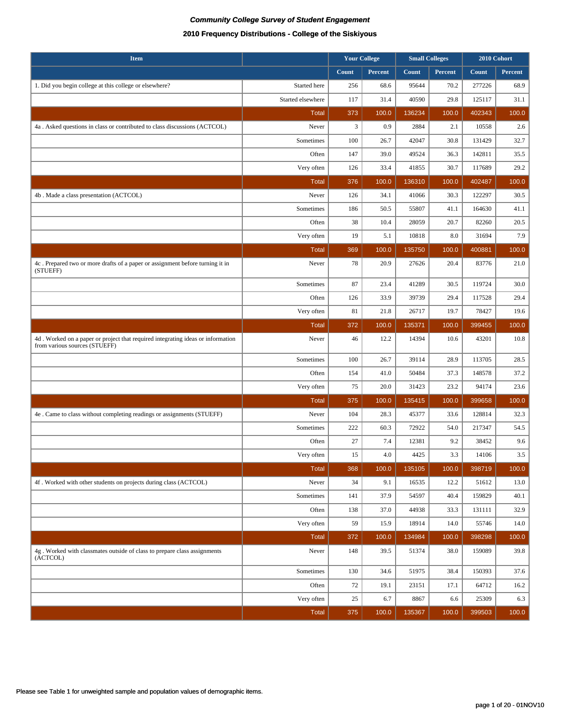| <b>Item</b>                                                                                                      |                   |       | <b>Your College</b> |        | <b>Small Colleges</b> | 2010 Cohort |         |
|------------------------------------------------------------------------------------------------------------------|-------------------|-------|---------------------|--------|-----------------------|-------------|---------|
|                                                                                                                  |                   | Count | Percent             | Count  | Percent               | Count       | Percent |
| 1. Did you begin college at this college or elsewhere?                                                           | Started here      | 256   | 68.6                | 95644  | 70.2                  | 277226      | 68.9    |
|                                                                                                                  | Started elsewhere | 117   | 31.4                | 40590  | 29.8                  | 125117      | 31.1    |
|                                                                                                                  | <b>Total</b>      | 373   | 100.0               | 136234 | 100.0                 | 402343      | 100.0   |
| 4a. Asked questions in class or contributed to class discussions (ACTCOL)                                        | Never             | 3     | 0.9                 | 2884   | 2.1                   | 10558       | 2.6     |
|                                                                                                                  | Sometimes         | 100   | 26.7                | 42047  | 30.8                  | 131429      | 32.7    |
|                                                                                                                  | Often             | 147   | 39.0                | 49524  | 36.3                  | 142811      | 35.5    |
|                                                                                                                  | Very often        | 126   | 33.4                | 41855  | 30.7                  | 117689      | 29.2    |
|                                                                                                                  | <b>Total</b>      | 376   | 100.0               | 136310 | 100.0                 | 402487      | 100.0   |
| 4b . Made a class presentation (ACTCOL)                                                                          | Never             | 126   | 34.1                | 41066  | 30.3                  | 122297      | 30.5    |
|                                                                                                                  | Sometimes         | 186   | 50.5                | 55807  | 41.1                  | 164630      | 41.1    |
|                                                                                                                  | Often             | 38    | 10.4                | 28059  | 20.7                  | 82260       | 20.5    |
|                                                                                                                  | Very often        | 19    | 5.1                 | 10818  | 8.0                   | 31694       | 7.9     |
|                                                                                                                  | <b>Total</b>      | 369   | 100.0               | 135750 | 100.0                 | 400881      | 100.0   |
| 4c. Prepared two or more drafts of a paper or assignment before turning it in<br>(STUEFF)                        | Never             | 78    | 20.9                | 27626  | 20.4                  | 83776       | 21.0    |
|                                                                                                                  | Sometimes         | 87    | 23.4                | 41289  | 30.5                  | 119724      | 30.0    |
|                                                                                                                  | Often             | 126   | 33.9                | 39739  | 29.4                  | 117528      | 29.4    |
|                                                                                                                  | Very often        | 81    | 21.8                | 26717  | 19.7                  | 78427       | 19.6    |
|                                                                                                                  | <b>Total</b>      | 372   | 100.0               | 135371 | 100.0                 | 399455      | 100.0   |
| 4d. Worked on a paper or project that required integrating ideas or information<br>from various sources (STUEFF) | Never             | 46    | 12.2                | 14394  | 10.6                  | 43201       | 10.8    |
|                                                                                                                  | Sometimes         | 100   | 26.7                | 39114  | 28.9                  | 113705      | 28.5    |
|                                                                                                                  | Often             | 154   | 41.0                | 50484  | 37.3                  | 148578      | 37.2    |
|                                                                                                                  | Very often        | 75    | 20.0                | 31423  | 23.2                  | 94174       | 23.6    |
|                                                                                                                  | <b>Total</b>      | 375   | 100.0               | 135415 | 100.0                 | 399658      | 100.0   |
| 4e . Came to class without completing readings or assignments (STUEFF)                                           | Never             | 104   | 28.3                | 45377  | 33.6                  | 128814      | 32.3    |
|                                                                                                                  | Sometimes         | 222   | 60.3                | 72922  | 54.0                  | 217347      | 54.5    |
|                                                                                                                  | Often             | 27    | 7.4                 | 12381  | 9.2                   | 38452       | 9.6     |
|                                                                                                                  | Very often        | 15    | 4.0                 | 4425   | 3.3                   | 14106       | 3.5     |
|                                                                                                                  | <b>Total</b>      | 368   | 100.0               | 135105 | 100.0                 | 398719      | 100.0   |
| 4f. Worked with other students on projects during class (ACTCOL)                                                 | Never             | 34    | 9.1                 | 16535  | 12.2                  | 51612       | 13.0    |
|                                                                                                                  | Sometimes         | 141   | 37.9                | 54597  | 40.4                  | 159829      | 40.1    |
|                                                                                                                  | Often             | 138   | 37.0                | 44938  | 33.3                  | 131111      | 32.9    |
|                                                                                                                  | Very often        | 59    | 15.9                | 18914  | 14.0                  | 55746       | 14.0    |
|                                                                                                                  | <b>Total</b>      | 372   | 100.0               | 134984 | 100.0                 | 398298      | 100.0   |
| 4g. Worked with classmates outside of class to prepare class assignments<br>(ACTCOL)                             | Never             | 148   | 39.5                | 51374  | 38.0                  | 159089      | 39.8    |
|                                                                                                                  | Sometimes         | 130   | 34.6                | 51975  | 38.4                  | 150393      | 37.6    |
|                                                                                                                  | Often             | 72    | 19.1                | 23151  | 17.1                  | 64712       | 16.2    |
|                                                                                                                  | Very often        | 25    | 6.7                 | 8867   | 6.6                   | 25309       | 6.3     |
|                                                                                                                  | Total             | 375   | 100.0               | 135367 | 100.0                 | 399503      | 100.0   |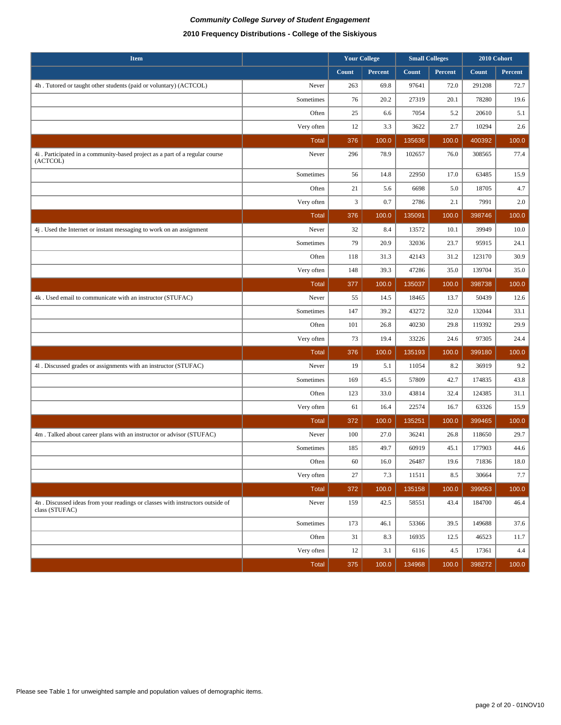| <b>Item</b>                                                                                      |              | <b>Your College</b> |          | <b>Small Colleges</b> |         | 2010 Cohort |          |
|--------------------------------------------------------------------------------------------------|--------------|---------------------|----------|-----------------------|---------|-------------|----------|
|                                                                                                  |              | Count               | Percent  | Count                 | Percent | Count       | Percent  |
| 4h. Tutored or taught other students (paid or voluntary) (ACTCOL)                                | Never        | 263                 | 69.8     | 97641                 | 72.0    | 291208      | 72.7     |
|                                                                                                  | Sometimes    | 76                  | 20.2     | 27319                 | 20.1    | 78280       | 19.6     |
|                                                                                                  | Often        | 25                  | 6.6      | 7054                  | 5.2     | 20610       | 5.1      |
|                                                                                                  | Very often   | 12                  | 3.3      | 3622                  | 2.7     | 10294       | 2.6      |
|                                                                                                  | <b>Total</b> | 376                 | 100.0    | 135636                | 100.0   | 400392      | 100.0    |
| 4i. Participated in a community-based project as a part of a regular course<br>(ACTCOL)          | Never        | 296                 | 78.9     | 102657                | 76.0    | 308565      | 77.4     |
|                                                                                                  | Sometimes    | 56                  | 14.8     | 22950                 | 17.0    | 63485       | 15.9     |
|                                                                                                  | Often        | 21                  | 5.6      | 6698                  | 5.0     | 18705       | 4.7      |
|                                                                                                  | Very often   | 3                   | 0.7      | 2786                  | 2.1     | 7991        | 2.0      |
|                                                                                                  | <b>Total</b> | 376                 | 100.0    | 135091                | 100.0   | 398746      | 100.0    |
| 4j. Used the Internet or instant messaging to work on an assignment                              | Never        | 32                  | 8.4      | 13572                 | 10.1    | 39949       | 10.0     |
|                                                                                                  | Sometimes    | 79                  | 20.9     | 32036                 | 23.7    | 95915       | 24.1     |
|                                                                                                  | Often        | 118                 | 31.3     | 42143                 | 31.2    | 123170      | 30.9     |
|                                                                                                  | Very often   | 148                 | 39.3     | 47286                 | 35.0    | 139704      | 35.0     |
|                                                                                                  | <b>Total</b> | 377                 | 100.0    | 135037                | 100.0   | 398738      | 100.0    |
| 4k. Used email to communicate with an instructor (STUFAC)                                        | Never        | 55                  | 14.5     | 18465                 | 13.7    | 50439       | 12.6     |
|                                                                                                  | Sometimes    | 147                 | 39.2     | 43272                 | 32.0    | 132044      | 33.1     |
|                                                                                                  | Often        | 101                 | 26.8     | 40230                 | 29.8    | 119392      | 29.9     |
|                                                                                                  | Very often   | 73                  | 19.4     | 33226                 | 24.6    | 97305       | 24.4     |
|                                                                                                  | <b>Total</b> | 376                 | 100.0    | 135193                | 100.0   | 399180      | 100.0    |
| 41. Discussed grades or assignments with an instructor (STUFAC)                                  | Never        | 19                  | 5.1      | 11054                 | 8.2     | 36919       | 9.2      |
|                                                                                                  | Sometimes    | 169                 | 45.5     | 57809                 | 42.7    | 174835      | 43.8     |
|                                                                                                  | Often        | 123                 | 33.0     | 43814                 | 32.4    | 124385      | 31.1     |
|                                                                                                  | Very often   | 61                  | 16.4     | 22574                 | 16.7    | 63326       | 15.9     |
|                                                                                                  | <b>Total</b> | 372                 | 100.0    | 135251                | 100.0   | 399465      | 100.0    |
| 4m. Talked about career plans with an instructor or advisor (STUFAC)                             | Never        | 100                 | 27.0     | 36241                 | 26.8    | 118650      | 29.7     |
|                                                                                                  | Sometimes    | 185                 | 49.7     | 60919                 | 45.1    | 177903      | 44.6     |
|                                                                                                  | Often        | 60                  | $16.0\,$ | 26487                 | 19.6    | 71836       | $18.0\,$ |
|                                                                                                  | Very often   | $27\,$              | 7.3      | 11511                 | 8.5     | 30664       | 7.7      |
|                                                                                                  | <b>Total</b> | 372                 | 100.0    | 135158                | 100.0   | 399053      | 100.0    |
| 4n . Discussed ideas from your readings or classes with instructors outside of<br>class (STUFAC) | Never        | 159                 | 42.5     | 58551                 | 43.4    | 184700      | 46.4     |
|                                                                                                  | Sometimes    | 173                 | 46.1     | 53366                 | 39.5    | 149688      | 37.6     |
|                                                                                                  | Often        | 31                  | 8.3      | 16935                 | 12.5    | 46523       | 11.7     |
|                                                                                                  | Very often   | 12                  | 3.1      | 6116                  | 4.5     | 17361       | 4.4      |
|                                                                                                  | <b>Total</b> | 375                 | 100.0    | 134968                | 100.0   | 398272      | 100.0    |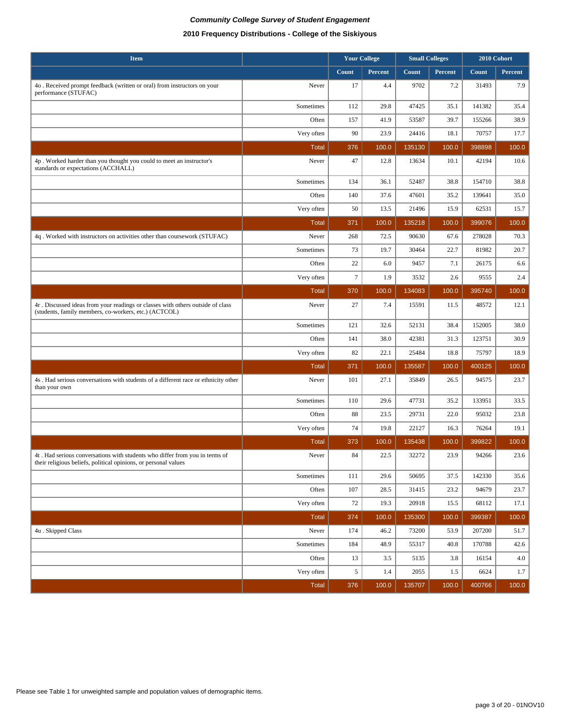| <b>Item</b>                                                                                                                             |                       |                  | <b>Your College</b> | <b>Small Colleges</b> |                | 2010 Cohort      |               |
|-----------------------------------------------------------------------------------------------------------------------------------------|-----------------------|------------------|---------------------|-----------------------|----------------|------------------|---------------|
|                                                                                                                                         |                       | Count            | Percent             | Count                 | <b>Percent</b> | Count            | Percent       |
| 4o. Received prompt feedback (written or oral) from instructors on your<br>performance (STUFAC)                                         | Never                 | 17               | 4.4                 | 9702                  | 7.2            | 31493            | 7.9           |
|                                                                                                                                         | Sometimes             | 112              | 29.8                | 47425                 | 35.1           | 141382           | 35.4          |
|                                                                                                                                         | Often                 | 157              | 41.9                | 53587                 | 39.7           | 155266           | 38.9          |
|                                                                                                                                         | Very often            | 90               | 23.9                | 24416                 | 18.1           | 70757            | 17.7          |
|                                                                                                                                         | <b>Total</b>          | 376              | 100.0               | 135130                | 100.0          | 398898           | 100.0         |
| 4p. Worked harder than you thought you could to meet an instructor's<br>standards or expectations (ACCHALL)                             | Never                 | 47               | 12.8                | 13634                 | 10.1           | 42194            | 10.6          |
|                                                                                                                                         | Sometimes             | 134              | 36.1                | 52487                 | 38.8           | 154710           | 38.8          |
|                                                                                                                                         | Often                 | 140              | 37.6                | 47601                 | 35.2           | 139641           | 35.0          |
|                                                                                                                                         | Very often            | 50               | 13.5                | 21496                 | 15.9           | 62531            | 15.7          |
|                                                                                                                                         | <b>Total</b>          | 371              | 100.0               | 135218                | 100.0          | 399076           | 100.0         |
| 4q. Worked with instructors on activities other than coursework (STUFAC)                                                                | Never                 | 268              | 72.5                | 90630                 | 67.6           | 278028           | 70.3          |
|                                                                                                                                         | Sometimes             | 73               | 19.7                | 30464                 | 22.7           | 81982            | 20.7          |
|                                                                                                                                         | Often                 | $22\,$           | 6.0                 | 9457                  | 7.1            | 26175            | 6.6           |
|                                                                                                                                         | Very often            | $\boldsymbol{7}$ | 1.9                 | 3532                  | 2.6            | 9555             | 2.4           |
|                                                                                                                                         | <b>Total</b>          | 370              | 100.0               | 134083                | 100.0          | 395740           | 100.0         |
| 4r. Discussed ideas from your readings or classes with others outside of class<br>(students, family members, co-workers, etc.) (ACTCOL) | Never                 | 27               | 7.4                 | 15591                 | 11.5           | 48572            | 12.1          |
|                                                                                                                                         | Sometimes             | 121              | 32.6                | 52131                 | 38.4           | 152005           | 38.0          |
|                                                                                                                                         | Often                 | 141              | 38.0                | 42381                 | 31.3           | 123751           | 30.9          |
|                                                                                                                                         | Very often            | 82               | 22.1                | 25484                 | 18.8           | 75797            | 18.9          |
|                                                                                                                                         | Total                 | 371              | 100.0               | 135587                | 100.0          | 400125           | 100.0         |
| 4s. Had serious conversations with students of a different race or ethnicity other<br>than your own                                     | Never                 | 101              | 27.1                | 35849                 | 26.5           | 94575            | 23.7          |
|                                                                                                                                         | Sometimes             | 110              | 29.6                | 47731                 | 35.2           | 133951           | 33.5          |
|                                                                                                                                         | Often                 | 88               | 23.5                | 29731                 | 22.0           | 95032            | 23.8          |
|                                                                                                                                         | Very often            | 74               | 19.8                | 22127                 | 16.3           | 76264            | 19.1          |
| 4t. Had serious conversations with students who differ from you in terms of                                                             | <b>Total</b><br>Never | 373<br>84        | 100.0<br>22.5       | 135438<br>32272       | 100.0<br>23.9  | 399822<br>94266  | 100.0<br>23.6 |
| their religious beliefs, political opinions, or personal values                                                                         |                       |                  |                     |                       |                |                  |               |
|                                                                                                                                         | Sometimes             | 111              | 29.6                | 50695                 | 37.5           | 142330           | 35.6          |
|                                                                                                                                         | Often                 | 107              | 28.5                | 31415                 | 23.2           | 94679            | 23.7          |
|                                                                                                                                         | Very often            | 72               | 19.3                | 20918                 | 15.5           | 68112            | 17.1          |
|                                                                                                                                         | <b>Total</b>          | 374              | 100.0               | 135300                | 100.0          | 399387           | 100.0         |
| 4u. Skipped Class                                                                                                                       | Never<br>Sometimes    | 174<br>184       | 46.2<br>48.9        | 73200<br>55317        | 53.9<br>40.8   | 207200<br>170788 | 51.7<br>42.6  |
|                                                                                                                                         | Often                 | 13               | 3.5                 | 5135                  | 3.8            | 16154            | 4.0           |
|                                                                                                                                         | Very often            | 5                | 1.4                 | 2055                  | 1.5            | 6624             | 1.7           |
|                                                                                                                                         | <b>Total</b>          | 376              | 100.0               | 135707                | 100.0          | 400766           | 100.0         |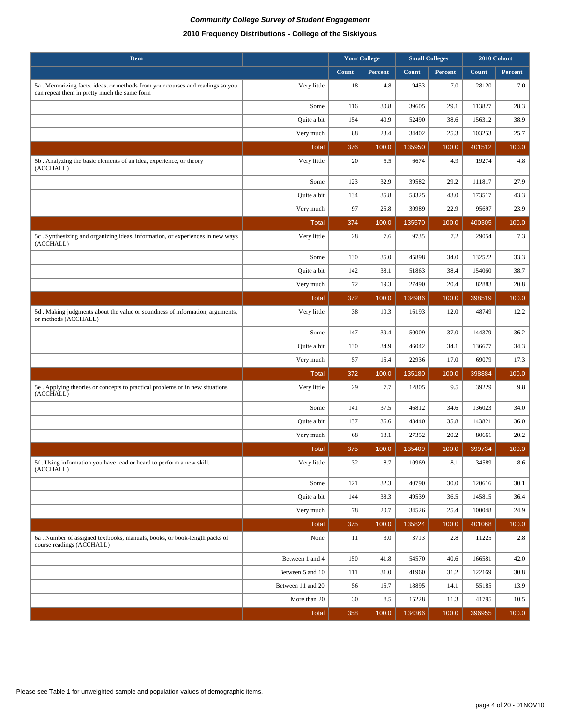| <b>Item</b>                                                                                                                   |                   |       | <b>Your College</b> |        | <b>Small Colleges</b> | 2010 Cohort |         |
|-------------------------------------------------------------------------------------------------------------------------------|-------------------|-------|---------------------|--------|-----------------------|-------------|---------|
|                                                                                                                               |                   | Count | Percent             | Count  | Percent               | Count       | Percent |
| 5a. Memorizing facts, ideas, or methods from your courses and readings so you<br>can repeat them in pretty much the same form | Very little       | 18    | 4.8                 | 9453   | 7.0                   | 28120       | 7.0     |
|                                                                                                                               | Some              | 116   | 30.8                | 39605  | 29.1                  | 113827      | 28.3    |
|                                                                                                                               | Quite a bit       | 154   | 40.9                | 52490  | 38.6                  | 156312      | 38.9    |
|                                                                                                                               | Very much         | 88    | 23.4                | 34402  | 25.3                  | 103253      | 25.7    |
|                                                                                                                               | <b>Total</b>      | 376   | 100.0               | 135950 | 100.0                 | 401512      | 100.0   |
| 5b. Analyzing the basic elements of an idea, experience, or theory<br>(ACCHALL)                                               | Very little       | 20    | 5.5                 | 6674   | 4.9                   | 19274       | 4.8     |
|                                                                                                                               | Some              | 123   | 32.9                | 39582  | 29.2                  | 111817      | 27.9    |
|                                                                                                                               | Quite a bit       | 134   | 35.8                | 58325  | 43.0                  | 173517      | 43.3    |
|                                                                                                                               | Very much         | 97    | 25.8                | 30989  | 22.9                  | 95697       | 23.9    |
|                                                                                                                               | <b>Total</b>      | 374   | 100.0               | 135570 | 100.0                 | 400305      | 100.0   |
| 5c. Synthesizing and organizing ideas, information, or experiences in new ways<br>(ACCHALL)                                   | Very little       | 28    | 7.6                 | 9735   | 7.2                   | 29054       | 7.3     |
|                                                                                                                               | Some              | 130   | 35.0                | 45898  | 34.0                  | 132522      | 33.3    |
|                                                                                                                               | Quite a bit       | 142   | 38.1                | 51863  | 38.4                  | 154060      | 38.7    |
|                                                                                                                               | Very much         | 72    | 19.3                | 27490  | 20.4                  | 82883       | 20.8    |
|                                                                                                                               | <b>Total</b>      | 372   | 100.0               | 134986 | 100.0                 | 398519      | 100.0   |
| 5d. Making judgments about the value or soundness of information, arguments,<br>or methods (ACCHALL)                          | Very little       | 38    | 10.3                | 16193  | 12.0                  | 48749       | 12.2    |
|                                                                                                                               | Some              | 147   | 39.4                | 50009  | 37.0                  | 144379      | 36.2    |
|                                                                                                                               | Quite a bit       | 130   | 34.9                | 46042  | 34.1                  | 136677      | 34.3    |
|                                                                                                                               | Very much         | 57    | 15.4                | 22936  | 17.0                  | 69079       | 17.3    |
|                                                                                                                               | <b>Total</b>      | 372   | 100.0               | 135180 | 100.0                 | 398884      | 100.0   |
| 5e. Applying theories or concepts to practical problems or in new situations<br>(ACCHALL)                                     | Very little       | 29    | 7.7                 | 12805  | 9.5                   | 39229       | 9.8     |
|                                                                                                                               | Some              | 141   | 37.5                | 46812  | 34.6                  | 136023      | 34.0    |
|                                                                                                                               | Quite a bit       | 137   | 36.6                | 48440  | 35.8                  | 143821      | 36.0    |
|                                                                                                                               | Very much         | 68    | 18.1                | 27352  | 20.2                  | 80661       | 20.2    |
|                                                                                                                               | <b>Total</b>      | 375   | 100.0               | 135409 | 100.0                 | 399734      | 100.0   |
| 5f. Using information you have read or heard to perform a new skill.<br>(ACCHALL)                                             | Very little       | 32    | 8.7                 | 10969  | 8.1                   | 34589       | 8.6     |
|                                                                                                                               | Some              | 121   | 32.3                | 40790  | 30.0                  | 120616      | 30.1    |
|                                                                                                                               | Quite a bit       | 144   | 38.3                | 49539  | 36.5                  | 145815      | 36.4    |
|                                                                                                                               | Very much         | 78    | 20.7                | 34526  | 25.4                  | 100048      | 24.9    |
|                                                                                                                               | <b>Total</b>      | 375   | 100.0               | 135824 | 100.0                 | 401068      | 100.0   |
| 6a. Number of assigned textbooks, manuals, books, or book-length packs of<br>course readings (ACCHALL)                        | None              | 11    | 3.0                 | 3713   | 2.8                   | 11225       | $2.8\,$ |
|                                                                                                                               | Between 1 and 4   | 150   | 41.8                | 54570  | 40.6                  | 166581      | 42.0    |
|                                                                                                                               | Between 5 and 10  | 111   | 31.0                | 41960  | 31.2                  | 122169      | 30.8    |
|                                                                                                                               | Between 11 and 20 | 56    | 15.7                | 18895  | 14.1                  | 55185       | 13.9    |
|                                                                                                                               | More than 20      | 30    | 8.5                 | 15228  | 11.3                  | 41795       | 10.5    |
|                                                                                                                               | <b>Total</b>      | 358   | 100.0               | 134366 | 100.0                 | 396955      | 100.0   |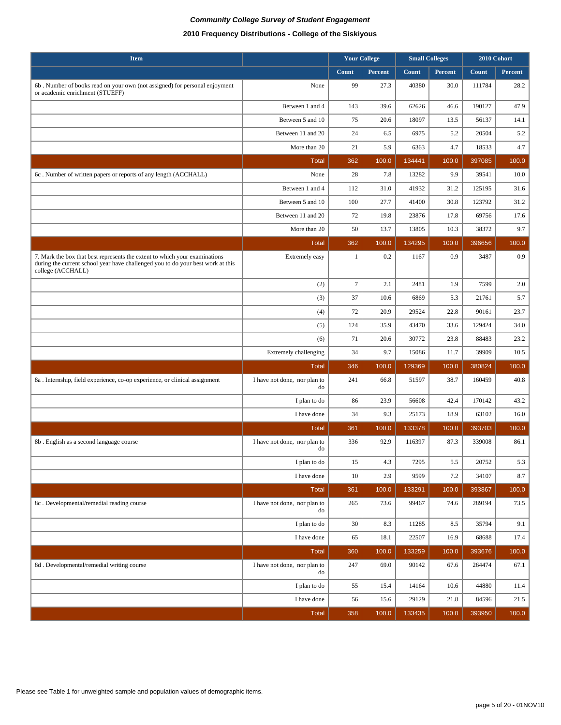| <b>Item</b>                                                                                                                                                                        |                                    |              | <b>Your College</b> | <b>Small Colleges</b> |         | 2010 Cohort  |         |
|------------------------------------------------------------------------------------------------------------------------------------------------------------------------------------|------------------------------------|--------------|---------------------|-----------------------|---------|--------------|---------|
|                                                                                                                                                                                    |                                    | Count        | Percent             | Count                 | Percent | <b>Count</b> | Percent |
| 6b. Number of books read on your own (not assigned) for personal enjoyment<br>or academic enrichment (STUEFF)                                                                      | None                               | 99           | 27.3                | 40380                 | 30.0    | 111784       | 28.2    |
|                                                                                                                                                                                    | Between 1 and 4                    | 143          | 39.6                | 62626                 | 46.6    | 190127       | 47.9    |
|                                                                                                                                                                                    | Between 5 and 10                   | 75           | 20.6                | 18097                 | 13.5    | 56137        | 14.1    |
|                                                                                                                                                                                    | Between 11 and 20                  | 24           | 6.5                 | 6975                  | 5.2     | 20504        | 5.2     |
|                                                                                                                                                                                    | More than 20                       | 21           | 5.9                 | 6363                  | 4.7     | 18533        | 4.7     |
|                                                                                                                                                                                    | <b>Total</b>                       | 362          | 100.0               | 134441                | 100.0   | 397085       | 100.0   |
| 6c. Number of written papers or reports of any length (ACCHALL)                                                                                                                    | None                               | 28           | 7.8                 | 13282                 | 9.9     | 39541        | 10.0    |
|                                                                                                                                                                                    | Between 1 and 4                    | 112          | 31.0                | 41932                 | 31.2    | 125195       | 31.6    |
|                                                                                                                                                                                    | Between 5 and 10                   | 100          | 27.7                | 41400                 | 30.8    | 123792       | 31.2    |
|                                                                                                                                                                                    | Between 11 and 20                  | 72           | 19.8                | 23876                 | 17.8    | 69756        | 17.6    |
|                                                                                                                                                                                    | More than 20                       | 50           | 13.7                | 13805                 | 10.3    | 38372        | 9.7     |
|                                                                                                                                                                                    | Total                              | 362          | 100.0               | 134295                | 100.0   | 396656       | 100.0   |
| 7. Mark the box that best represents the extent to which your examinations<br>during the current school year have challenged you to do your best work at this<br>college (ACCHALL) | Extremely easy                     | $\mathbf{1}$ | 0.2                 | 1167                  | 0.9     | 3487         | 0.9     |
|                                                                                                                                                                                    | (2)                                | $\tau$       | 2.1                 | 2481                  | 1.9     | 7599         | 2.0     |
|                                                                                                                                                                                    | (3)                                | 37           | 10.6                | 6869                  | 5.3     | 21761        | 5.7     |
|                                                                                                                                                                                    | (4)                                | 72           | 20.9                | 29524                 | 22.8    | 90161        | 23.7    |
|                                                                                                                                                                                    | (5)                                | 124          | 35.9                | 43470                 | 33.6    | 129424       | 34.0    |
|                                                                                                                                                                                    | (6)                                | 71           | 20.6                | 30772                 | 23.8    | 88483        | 23.2    |
|                                                                                                                                                                                    | <b>Extremely challenging</b>       | 34           | 9.7                 | 15086                 | 11.7    | 39909        | 10.5    |
|                                                                                                                                                                                    | <b>Total</b>                       | 346          | 100.0               | 129369                | 100.0   | 380824       | 100.0   |
| 8a. Internship, field experience, co-op experience, or clinical assignment                                                                                                         | I have not done, nor plan to<br>do | 241          | 66.8                | 51597                 | 38.7    | 160459       | 40.8    |
|                                                                                                                                                                                    | I plan to do                       | 86           | 23.9                | 56608                 | 42.4    | 170142       | 43.2    |
|                                                                                                                                                                                    | I have done                        | 34           | 9.3                 | 25173                 | 18.9    | 63102        | 16.0    |
|                                                                                                                                                                                    | <b>Total</b>                       | 361          | 100.0               | 133378                | 100.0   | 393703       | 100.0   |
| 8b. English as a second language course                                                                                                                                            | I have not done, nor plan to<br>do | 336          | 92.9                | 116397                | 87.3    | 339008       | 86.1    |
|                                                                                                                                                                                    | I plan to do                       | 15           | 4.3                 | 7295                  | 5.5     | 20752        | 5.3     |
|                                                                                                                                                                                    | I have done                        | $10\,$       | 2.9                 | 9599                  | 7.2     | 34107        | 8.7     |
|                                                                                                                                                                                    | <b>Total</b>                       | 361          | 100.0               | 133291                | 100.0   | 393867       | 100.0   |
| 8c. Developmental/remedial reading course                                                                                                                                          | I have not done, nor plan to<br>do | 265          | 73.6                | 99467                 | 74.6    | 289194       | 73.5    |
|                                                                                                                                                                                    | I plan to do                       | 30           | 8.3                 | 11285                 | 8.5     | 35794        | 9.1     |
|                                                                                                                                                                                    | I have done                        | 65           | 18.1                | 22507                 | 16.9    | 68688        | 17.4    |
|                                                                                                                                                                                    | Total                              | 360          | 100.0               | 133259                | 100.0   | 393676       | 100.0   |
| 8d. Developmental/remedial writing course                                                                                                                                          | I have not done, nor plan to<br>do | 247          | 69.0                | 90142                 | 67.6    | 264474       | 67.1    |
|                                                                                                                                                                                    | I plan to do                       | 55           | 15.4                | 14164                 | 10.6    | 44880        | 11.4    |
|                                                                                                                                                                                    | I have done                        | 56           | 15.6                | 29129                 | 21.8    | 84596        | 21.5    |
|                                                                                                                                                                                    | Total                              | 358          | 100.0               | 133435                | 100.0   | 393950       | 100.0   |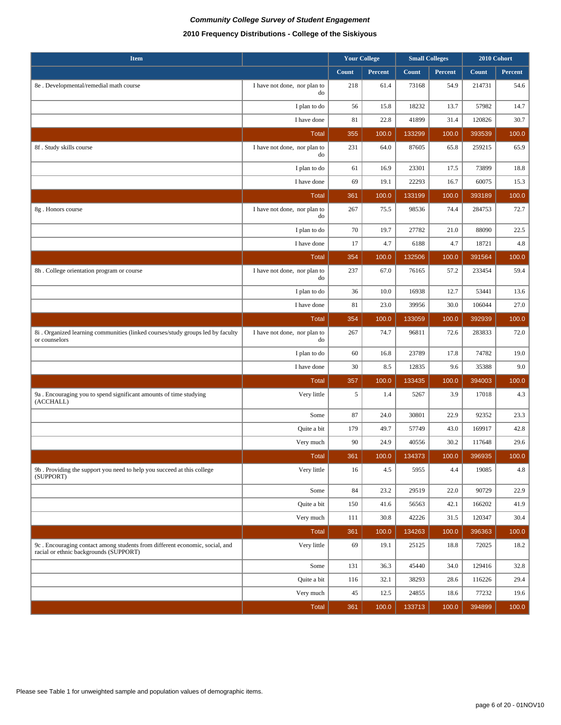| <b>Item</b>                                                                                                           |                                    | <b>Your College</b> |         | <b>Small Colleges</b> |         | 2010 Cohort  |         |
|-----------------------------------------------------------------------------------------------------------------------|------------------------------------|---------------------|---------|-----------------------|---------|--------------|---------|
|                                                                                                                       |                                    | Count               | Percent | Count                 | Percent | <b>Count</b> | Percent |
| 8e . Developmental/remedial math course                                                                               | I have not done, nor plan to<br>do | 218                 | 61.4    | 73168                 | 54.9    | 214731       | 54.6    |
|                                                                                                                       | I plan to do                       | 56                  | 15.8    | 18232                 | 13.7    | 57982        | 14.7    |
|                                                                                                                       | I have done                        | 81                  | 22.8    | 41899                 | 31.4    | 120826       | 30.7    |
|                                                                                                                       | <b>Total</b>                       | 355                 | 100.0   | 133299                | 100.0   | 393539       | 100.0   |
| 8f. Study skills course                                                                                               | I have not done, nor plan to<br>do | 231                 | 64.0    | 87605                 | 65.8    | 259215       | 65.9    |
|                                                                                                                       | I plan to do                       | 61                  | 16.9    | 23301                 | 17.5    | 73899        | 18.8    |
|                                                                                                                       | I have done                        | 69                  | 19.1    | 22293                 | 16.7    | 60075        | 15.3    |
|                                                                                                                       | <b>Total</b>                       | 361                 | 100.0   | 133199                | 100.0   | 393189       | 100.0   |
| 8g. Honors course                                                                                                     | I have not done, nor plan to<br>do | 267                 | 75.5    | 98536                 | 74.4    | 284753       | 72.7    |
|                                                                                                                       | I plan to do                       | 70                  | 19.7    | 27782                 | 21.0    | 88090        | 22.5    |
|                                                                                                                       | I have done                        | 17                  | 4.7     | 6188                  | 4.7     | 18721        | 4.8     |
|                                                                                                                       | <b>Total</b>                       | 354                 | 100.0   | 132506                | 100.0   | 391564       | 100.0   |
| 8h. College orientation program or course                                                                             | I have not done, nor plan to<br>do | 237                 | 67.0    | 76165                 | 57.2    | 233454       | 59.4    |
|                                                                                                                       | I plan to do                       | 36                  | 10.0    | 16938                 | 12.7    | 53441        | 13.6    |
|                                                                                                                       | I have done                        | 81                  | 23.0    | 39956                 | 30.0    | 106044       | 27.0    |
|                                                                                                                       | <b>Total</b>                       | 354                 | 100.0   | 133059                | 100.0   | 392939       | 100.0   |
| 8i. Organized learning communities (linked courses/study groups led by faculty<br>or counselors                       | I have not done, nor plan to<br>do | 267                 | 74.7    | 96811                 | 72.6    | 283833       | 72.0    |
|                                                                                                                       | I plan to do                       | 60                  | 16.8    | 23789                 | 17.8    | 74782        | 19.0    |
|                                                                                                                       | I have done                        | 30                  | 8.5     | 12835                 | 9.6     | 35388        | 9.0     |
|                                                                                                                       | <b>Total</b>                       | 357                 | 100.0   | 133435                | 100.0   | 394003       | 100.0   |
| 9a. Encouraging you to spend significant amounts of time studying<br>(ACCHALL)                                        | Very little                        | 5                   | 1.4     | 5267                  | 3.9     | 17018        | 4.3     |
|                                                                                                                       | Some                               | 87                  | 24.0    | 30801                 | 22.9    | 92352        | 23.3    |
|                                                                                                                       | Quite a bit                        | 179                 | 49.7    | 57749                 | 43.0    | 169917       | 42.8    |
|                                                                                                                       | Very much                          | 90                  | 24.9    | 40556                 | 30.2    | 117648       | 29.6    |
|                                                                                                                       | <b>Total</b>                       | 361                 | 100.0   | 134373                | 100.0   | 396935       | 100.0   |
| 9b. Providing the support you need to help you succeed at this college<br>(SUPPORT)                                   | Very little                        | 16                  | 4.5     | 5955                  | 4.4     | 19085        | $4.8\,$ |
|                                                                                                                       | Some                               | 84                  | 23.2    | 29519                 | 22.0    | 90729        | 22.9    |
|                                                                                                                       | Quite a bit                        | 150                 | 41.6    | 56563                 | 42.1    | 166202       | 41.9    |
|                                                                                                                       | Very much                          | 111                 | 30.8    | 42226                 | 31.5    | 120347       | 30.4    |
|                                                                                                                       | <b>Total</b>                       | 361                 | 100.0   | 134263                | 100.0   | 396363       | 100.0   |
| 9c. Encouraging contact among students from different economic, social, and<br>racial or ethnic backgrounds (SUPPORT) | Very little                        | 69                  | 19.1    | 25125                 | 18.8    | 72025        | 18.2    |
|                                                                                                                       | Some                               | 131                 | 36.3    | 45440                 | 34.0    | 129416       | 32.8    |
|                                                                                                                       | Quite a bit                        | 116                 | 32.1    | 38293                 | 28.6    | 116226       | 29.4    |
|                                                                                                                       | Very much                          | 45                  | 12.5    | 24855                 | 18.6    | 77232        | 19.6    |
|                                                                                                                       | <b>Total</b>                       | 361                 | 100.0   | 133713                | 100.0   | 394899       | 100.0   |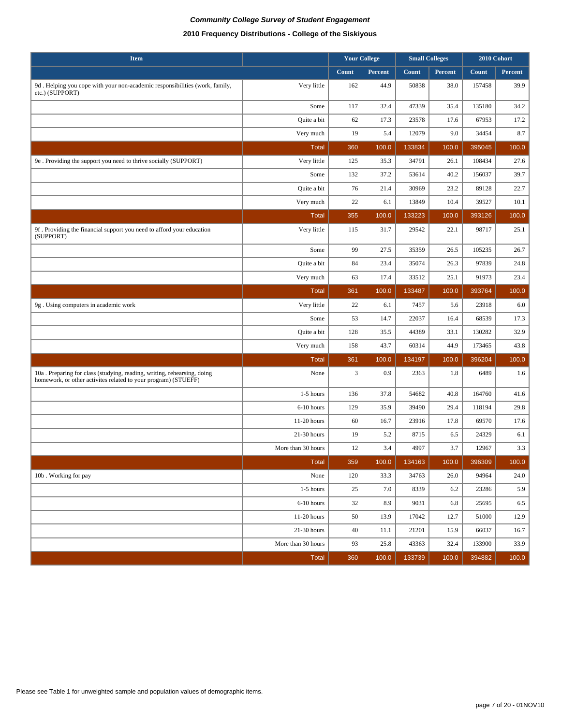| <b>Item</b>                                                                                                                               |                    | <b>Your College</b> |                | <b>Small Colleges</b> |         | 2010 Cohort |                |
|-------------------------------------------------------------------------------------------------------------------------------------------|--------------------|---------------------|----------------|-----------------------|---------|-------------|----------------|
|                                                                                                                                           |                    | Count               | <b>Percent</b> | Count                 | Percent | Count       | <b>Percent</b> |
| 9d. Helping you cope with your non-academic responsibilities (work, family,<br>etc.) (SUPPORT)                                            | Very little        | 162                 | 44.9           | 50838                 | 38.0    | 157458      | 39.9           |
|                                                                                                                                           | Some               | 117                 | 32.4           | 47339                 | 35.4    | 135180      | 34.2           |
|                                                                                                                                           | Quite a bit        | 62                  | 17.3           | 23578                 | 17.6    | 67953       | 17.2           |
|                                                                                                                                           | Very much          | 19                  | 5.4            | 12079                 | 9.0     | 34454       | 8.7            |
|                                                                                                                                           | <b>Total</b>       | 360                 | 100.0          | 133834                | 100.0   | 395045      | 100.0          |
| 9e. Providing the support you need to thrive socially (SUPPORT)                                                                           | Very little        | 125                 | 35.3           | 34791                 | 26.1    | 108434      | 27.6           |
|                                                                                                                                           | Some               | 132                 | 37.2           | 53614                 | 40.2    | 156037      | 39.7           |
|                                                                                                                                           | Quite a bit        | 76                  | 21.4           | 30969                 | 23.2    | 89128       | 22.7           |
|                                                                                                                                           | Very much          | 22                  | 6.1            | 13849                 | 10.4    | 39527       | 10.1           |
|                                                                                                                                           | <b>Total</b>       | 355                 | 100.0          | 133223                | 100.0   | 393126      | 100.0          |
| 9f. Providing the financial support you need to afford your education<br>(SUPPORT)                                                        | Very little        | 115                 | 31.7           | 29542                 | 22.1    | 98717       | 25.1           |
|                                                                                                                                           | Some               | 99                  | 27.5           | 35359                 | 26.5    | 105235      | 26.7           |
|                                                                                                                                           | Quite a bit        | 84                  | 23.4           | 35074                 | 26.3    | 97839       | 24.8           |
|                                                                                                                                           | Very much          | 63                  | 17.4           | 33512                 | 25.1    | 91973       | 23.4           |
|                                                                                                                                           | <b>Total</b>       | 361                 | 100.0          | 133487                | 100.0   | 393764      | 100.0          |
| 9g. Using computers in academic work                                                                                                      | Very little        | $22\,$              | 6.1            | 7457                  | 5.6     | 23918       | 6.0            |
|                                                                                                                                           | Some               | 53                  | 14.7           | 22037                 | 16.4    | 68539       | 17.3           |
|                                                                                                                                           | Quite a bit        | 128                 | 35.5           | 44389                 | 33.1    | 130282      | 32.9           |
|                                                                                                                                           | Very much          | 158                 | 43.7           | 60314                 | 44.9    | 173465      | 43.8           |
|                                                                                                                                           | <b>Total</b>       | 361                 | 100.0          | 134197                | 100.0   | 396204      | 100.0          |
| 10a. Preparing for class (studying, reading, writing, rehearsing, doing<br>homework, or other activites related to your program) (STUEFF) | None               | 3                   | 0.9            | 2363                  | 1.8     | 6489        | 1.6            |
|                                                                                                                                           | $1-5$ hours        | 136                 | 37.8           | 54682                 | 40.8    | 164760      | 41.6           |
|                                                                                                                                           | 6-10 hours         | 129                 | 35.9           | 39490                 | 29.4    | 118194      | 29.8           |
|                                                                                                                                           | 11-20 hours        | 60                  | 16.7           | 23916                 | 17.8    | 69570       | 17.6           |
|                                                                                                                                           | 21-30 hours        | 19                  | 5.2            | 8715                  | 6.5     | 24329       | 6.1            |
|                                                                                                                                           | More than 30 hours | 12                  | 3.4            | 4997                  | 3.7     | 12967       | 3.3            |
|                                                                                                                                           | Total $ $          | 359                 | 100.0          | 134163                | 100.0   | 396309      | 100.0          |
| 10b. Working for pay                                                                                                                      | None               | 120                 | 33.3           | 34763                 | 26.0    | 94964       | 24.0           |
|                                                                                                                                           | 1-5 hours          | $25\,$              | 7.0            | 8339                  | 6.2     | 23286       | 5.9            |
|                                                                                                                                           | $6-10$ hours       | 32                  | 8.9            | 9031                  | 6.8     | 25695       | 6.5            |
|                                                                                                                                           | 11-20 hours        | 50                  | 13.9           | 17042                 | 12.7    | 51000       | 12.9           |
|                                                                                                                                           | 21-30 hours        | 40                  | 11.1           | 21201                 | 15.9    | 66037       | 16.7           |
|                                                                                                                                           | More than 30 hours | 93                  | 25.8           | 43363                 | 32.4    | 133900      | 33.9           |
|                                                                                                                                           | Total              | 360                 | 100.0          | 133739                | 100.0   | 394882      | 100.0          |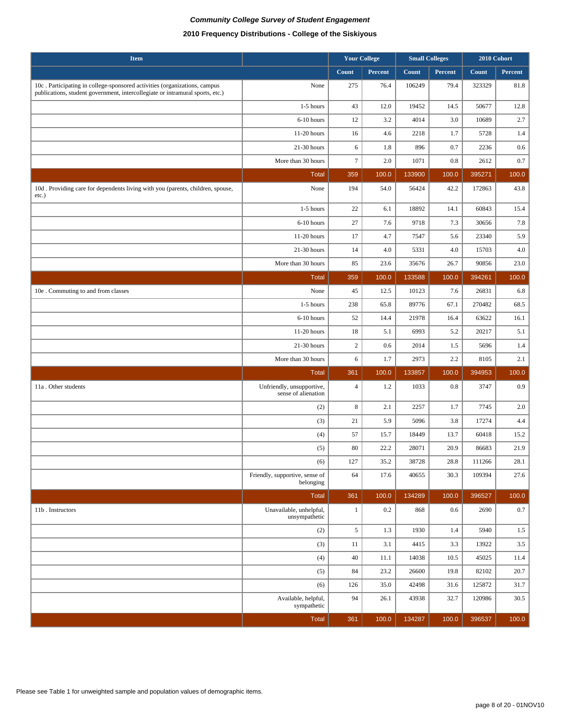| <b>Item</b>                                                                                                                                                |                                                  |                  | <b>Your College</b> | <b>Small Colleges</b> |          | 2010 Cohort  |          |
|------------------------------------------------------------------------------------------------------------------------------------------------------------|--------------------------------------------------|------------------|---------------------|-----------------------|----------|--------------|----------|
|                                                                                                                                                            |                                                  | Count            | Percent             | Count                 | Percent  | <b>Count</b> | Percent  |
| 10c. Participating in college-sponsored activities (organizations, campus<br>publications, student government, intercollegiate or intramural sports, etc.) | None                                             | 275              | 76.4                | 106249                | 79.4     | 323329       | 81.8     |
|                                                                                                                                                            | $1-5$ hours                                      | 43               | 12.0                | 19452                 | 14.5     | 50677        | 12.8     |
|                                                                                                                                                            | 6-10 hours                                       | 12               | 3.2                 | 4014                  | 3.0      | 10689        | 2.7      |
|                                                                                                                                                            | 11-20 hours                                      | 16               | 4.6                 | 2218                  | 1.7      | 5728         | 1.4      |
|                                                                                                                                                            | 21-30 hours                                      | $\sqrt{6}$       | 1.8                 | 896                   | 0.7      | 2236         | 0.6      |
|                                                                                                                                                            | More than 30 hours                               | $\tau$           | 2.0                 | 1071                  | 0.8      | 2612         | 0.7      |
|                                                                                                                                                            | <b>Total</b>                                     | 359              | 100.0               | 133900                | 100.0    | 395271       | 100.0    |
| 10d. Providing care for dependents living with you (parents, children, spouse,<br>$etc.$ )                                                                 | None                                             | 194              | 54.0                | 56424                 | 42.2     | 172863       | 43.8     |
|                                                                                                                                                            | 1-5 hours                                        | 22               | 6.1                 | 18892                 | 14.1     | 60843        | 15.4     |
|                                                                                                                                                            | 6-10 hours                                       | $27\,$           | 7.6                 | 9718                  | 7.3      | 30656        | $7.8\,$  |
|                                                                                                                                                            | 11-20 hours                                      | 17               | 4.7                 | 7547                  | 5.6      | 23340        | 5.9      |
|                                                                                                                                                            | 21-30 hours                                      | 14               | 4.0                 | 5331                  | 4.0      | 15703        | 4.0      |
|                                                                                                                                                            | More than 30 hours                               | 85               | 23.6                | 35676                 | 26.7     | 90856        | 23.0     |
|                                                                                                                                                            | <b>Total</b>                                     | 359              | 100.0               | 133588                | 100.0    | 394261       | 100.0    |
| 10e . Commuting to and from classes                                                                                                                        | None                                             | 45               | 12.5                | 10123                 | 7.6      | 26831        | 6.8      |
|                                                                                                                                                            | $1-5$ hours                                      | 238              | 65.8                | 89776                 | 67.1     | 270482       | 68.5     |
|                                                                                                                                                            | 6-10 hours                                       | 52               | 14.4                | 21978                 | 16.4     | 63622        | 16.1     |
|                                                                                                                                                            | 11-20 hours                                      | 18               | 5.1                 | 6993                  | 5.2      | 20217        | 5.1      |
|                                                                                                                                                            | $21-30$ hours                                    | $\boldsymbol{2}$ | 0.6                 | 2014                  | 1.5      | 5696         | 1.4      |
|                                                                                                                                                            | More than 30 hours                               | 6                | 1.7                 | 2973                  | 2.2      | 8105         | 2.1      |
|                                                                                                                                                            | <b>Total</b>                                     | 361              | 100.0               | 133857                | 100.0    | 394953       | 100.0    |
| 11a. Other students                                                                                                                                        | Unfriendly, unsupportive,<br>sense of alienation | $\overline{4}$   | 1.2                 | 1033                  | 0.8      | 3747         | 0.9      |
|                                                                                                                                                            | (2)                                              | $\,8\,$          | 2.1                 | 2257                  | 1.7      | 7745         | 2.0      |
|                                                                                                                                                            | (3)                                              | 21               | 5.9                 | 5096                  | 3.8      | 17274        | 4.4      |
|                                                                                                                                                            | (4)                                              | 57               | 15.7                | 18449                 | 13.7     | 60418        | 15.2     |
|                                                                                                                                                            | (5)                                              | 80               | 22.2                | 28071                 | 20.9     | 86683        | 21.9     |
|                                                                                                                                                            | (6)                                              | 127              | 35.2                | 38728                 | $28.8\,$ | 111266       | $28.1\,$ |
|                                                                                                                                                            | Friendly, supportive, sense of<br>belonging      | 64               | 17.6                | 40655                 | 30.3     | 109394       | 27.6     |
|                                                                                                                                                            | Total                                            | 361              | 100.0               | 134289                | 100.0    | 396527       | 100.0    |
| 11b. Instructors                                                                                                                                           | Unavailable, unhelpful,<br>unsympathetic         | $\mathbf{1}$     | 0.2                 | 868                   | 0.6      | 2690         | $0.7\,$  |
|                                                                                                                                                            | (2)                                              | $5\overline{ }$  | 1.3                 | 1930                  | 1.4      | 5940         | 1.5      |
|                                                                                                                                                            | (3)                                              | 11               | 3.1                 | 4415                  | 3.3      | 13922        | $3.5\,$  |
|                                                                                                                                                            | (4)                                              | 40               | 11.1                | 14038                 | 10.5     | 45025        | 11.4     |
|                                                                                                                                                            | (5)                                              | 84               | 23.2                | 26600                 | 19.8     | 82102        | 20.7     |
|                                                                                                                                                            | (6)                                              | 126              | 35.0                | 42498                 | 31.6     | 125872       | 31.7     |
|                                                                                                                                                            | Available, helpful,<br>sympathetic               | 94               | 26.1                | 43938                 | 32.7     | 120986       | 30.5     |
|                                                                                                                                                            | Total                                            | 361              | 100.0               | 134287                | 100.0    | 396537       | 100.0    |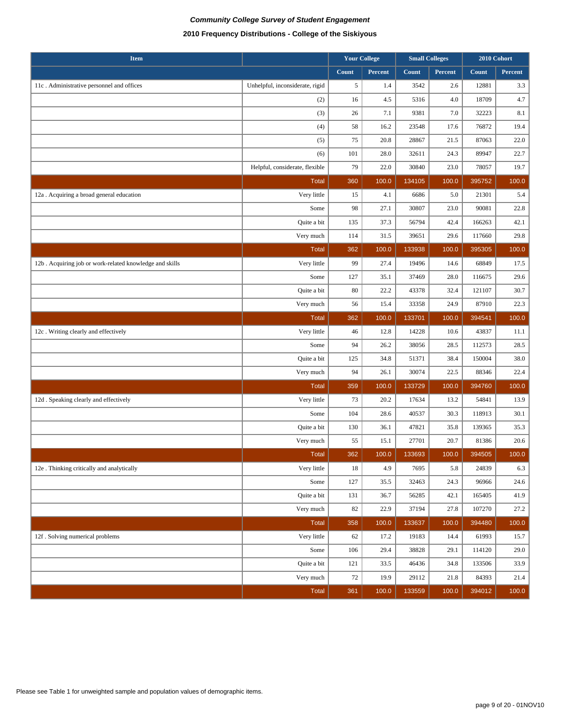| <b>Item</b>                                             |                                 | <b>Your College</b> |         | <b>Small Colleges</b> |         | 2010 Cohort |         |
|---------------------------------------------------------|---------------------------------|---------------------|---------|-----------------------|---------|-------------|---------|
|                                                         |                                 | Count               | Percent | Count                 | Percent | Count       | Percent |
| 11c. Administrative personnel and offices               | Unhelpful, inconsiderate, rigid | 5                   | 1.4     | 3542                  | 2.6     | 12881       | 3.3     |
|                                                         | (2)                             | 16                  | 4.5     | 5316                  | 4.0     | 18709       | 4.7     |
|                                                         | (3)                             | 26                  | 7.1     | 9381                  | 7.0     | 32223       | 8.1     |
|                                                         | (4)                             | 58                  | 16.2    | 23548                 | 17.6    | 76872       | 19.4    |
|                                                         | (5)                             | 75                  | 20.8    | 28867                 | 21.5    | 87063       | 22.0    |
|                                                         | (6)                             | 101                 | 28.0    | 32611                 | 24.3    | 89947       | 22.7    |
|                                                         | Helpful, considerate, flexible  | 79                  | 22.0    | 30840                 | 23.0    | 78057       | 19.7    |
|                                                         | <b>Total</b>                    | 360                 | 100.0   | 134105                | 100.0   | 395752      | 100.0   |
| 12a . Acquiring a broad general education               | Very little                     | 15                  | 4.1     | 6686                  | 5.0     | 21301       | 5.4     |
|                                                         | Some                            | 98                  | 27.1    | 30807                 | 23.0    | 90081       | 22.8    |
|                                                         | Quite a bit                     | 135                 | 37.3    | 56794                 | 42.4    | 166263      | 42.1    |
|                                                         | Very much                       | 114                 | 31.5    | 39651                 | 29.6    | 117660      | 29.8    |
|                                                         | <b>Total</b>                    | 362                 | 100.0   | 133938                | 100.0   | 395305      | 100.0   |
| 12b. Acquiring job or work-related knowledge and skills | Very little                     | 99                  | 27.4    | 19496                 | 14.6    | 68849       | 17.5    |
|                                                         | Some                            | 127                 | 35.1    | 37469                 | 28.0    | 116675      | 29.6    |
|                                                         | Quite a bit                     | 80                  | 22.2    | 43378                 | 32.4    | 121107      | 30.7    |
|                                                         | Very much                       | 56                  | 15.4    | 33358                 | 24.9    | 87910       | 22.3    |
|                                                         | <b>Total</b>                    | 362                 | 100.0   | 133701                | 100.0   | 394541      | 100.0   |
| 12c. Writing clearly and effectively                    | Very little                     | 46                  | 12.8    | 14228                 | 10.6    | 43837       | 11.1    |
|                                                         | Some                            | 94                  | 26.2    | 38056                 | 28.5    | 112573      | 28.5    |
|                                                         | Quite a bit                     | 125                 | 34.8    | 51371                 | 38.4    | 150004      | 38.0    |
|                                                         | Very much                       | 94                  | 26.1    | 30074                 | 22.5    | 88346       | 22.4    |
|                                                         | <b>Total</b>                    | 359                 | 100.0   | 133729                | 100.0   | 394760      | 100.0   |
| 12d. Speaking clearly and effectively                   | Very little                     | 73                  | 20.2    | 17634                 | 13.2    | 54841       | 13.9    |
|                                                         | Some                            | 104                 | 28.6    | 40537                 | 30.3    | 118913      | 30.1    |
|                                                         | Quite a bit                     | 130                 | 36.1    | 47821                 | 35.8    | 139365      | 35.3    |
|                                                         | Very much                       | 55                  | 15.1    | 27701                 | 20.7    | 81386       | 20.6    |
|                                                         | <b>Total</b>                    | 362                 | 100.0   | 133693                | 100.0   | 394505      | 100.0   |
| 12e . Thinking critically and analytically              | Very little                     | 18                  | 4.9     | 7695                  | 5.8     | 24839       | 6.3     |
|                                                         | Some                            | 127                 | 35.5    | 32463                 | 24.3    | 96966       | 24.6    |
|                                                         | Quite a bit                     | 131                 | 36.7    | 56285                 | 42.1    | 165405      | 41.9    |
|                                                         | Very much                       | 82                  | 22.9    | 37194                 | 27.8    | 107270      | 27.2    |
|                                                         | <b>Total</b>                    | 358                 | 100.0   | 133637                | 100.0   | 394480      | 100.0   |
| 12f . Solving numerical problems                        | Very little                     | 62                  | 17.2    | 19183                 | 14.4    | 61993       | 15.7    |
|                                                         | Some                            | 106                 | 29.4    | 38828                 | 29.1    | 114120      | 29.0    |
|                                                         | Quite a bit                     | 121                 | 33.5    | 46436                 | 34.8    | 133506      | 33.9    |
|                                                         | Very much                       | $72\,$              | 19.9    | 29112                 | 21.8    | 84393       | 21.4    |
|                                                         | <b>Total</b>                    | 361                 | 100.0   | 133559                | 100.0   | 394012      | 100.0   |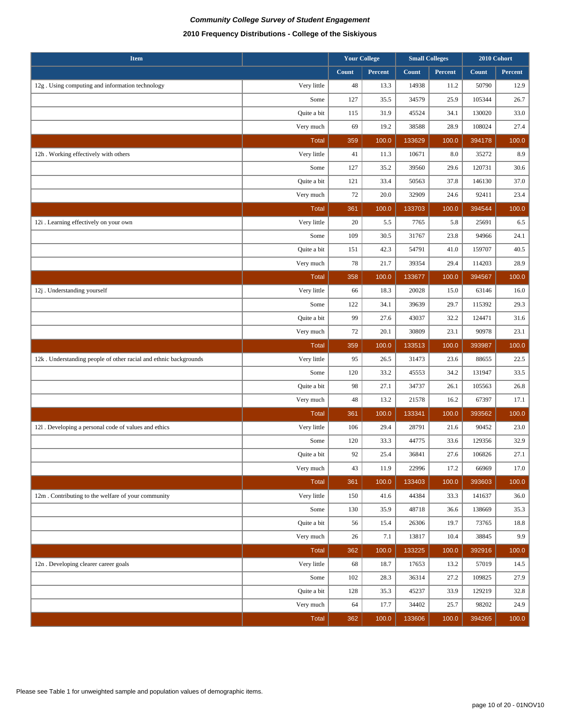| <b>Item</b>                                                      |              |       | <b>Your College</b> |        | <b>Small Colleges</b> | 2010 Cohort |         |
|------------------------------------------------------------------|--------------|-------|---------------------|--------|-----------------------|-------------|---------|
|                                                                  |              | Count | Percent             | Count  | Percent               | Count       | Percent |
| 12g. Using computing and information technology                  | Very little  | 48    | 13.3                | 14938  | 11.2                  | 50790       | 12.9    |
|                                                                  | Some         | 127   | 35.5                | 34579  | 25.9                  | 105344      | 26.7    |
|                                                                  | Quite a bit  | 115   | 31.9                | 45524  | 34.1                  | 130020      | 33.0    |
|                                                                  | Very much    | 69    | 19.2                | 38588  | 28.9                  | 108024      | 27.4    |
|                                                                  | <b>Total</b> | 359   | 100.0               | 133629 | 100.0                 | 394178      | 100.0   |
| 12h. Working effectively with others                             | Very little  | 41    | 11.3                | 10671  | 8.0                   | 35272       | 8.9     |
|                                                                  | Some         | 127   | 35.2                | 39560  | 29.6                  | 120731      | 30.6    |
|                                                                  | Quite a bit  | 121   | 33.4                | 50563  | 37.8                  | 146130      | 37.0    |
|                                                                  | Very much    | 72    | 20.0                | 32909  | 24.6                  | 92411       | 23.4    |
|                                                                  | <b>Total</b> | 361   | 100.0               | 133703 | 100.0                 | 394544      | 100.0   |
| 12i . Learning effectively on your own                           | Very little  | 20    | 5.5                 | 7765   | 5.8                   | 25691       | 6.5     |
|                                                                  | Some         | 109   | 30.5                | 31767  | 23.8                  | 94966       | 24.1    |
|                                                                  | Quite a bit  | 151   | 42.3                | 54791  | 41.0                  | 159707      | 40.5    |
|                                                                  | Very much    | 78    | 21.7                | 39354  | 29.4                  | 114203      | 28.9    |
|                                                                  | <b>Total</b> | 358   | 100.0               | 133677 | 100.0                 | 394567      | 100.0   |
| 12j. Understanding yourself                                      | Very little  | 66    | 18.3                | 20028  | 15.0                  | 63146       | 16.0    |
|                                                                  | Some         | 122   | 34.1                | 39639  | 29.7                  | 115392      | 29.3    |
|                                                                  | Quite a bit  | 99    | 27.6                | 43037  | 32.2                  | 124471      | 31.6    |
|                                                                  | Very much    | 72    | 20.1                | 30809  | 23.1                  | 90978       | 23.1    |
|                                                                  | <b>Total</b> | 359   | 100.0               | 133513 | 100.0                 | 393987      | 100.0   |
| 12k. Understanding people of other racial and ethnic backgrounds | Very little  | 95    | 26.5                | 31473  | 23.6                  | 88655       | 22.5    |
|                                                                  | Some         | 120   | 33.2                | 45553  | 34.2                  | 131947      | 33.5    |
|                                                                  | Quite a bit  | 98    | 27.1                | 34737  | 26.1                  | 105563      | 26.8    |
|                                                                  | Very much    | 48    | 13.2                | 21578  | 16.2                  | 67397       | 17.1    |
|                                                                  | <b>Total</b> | 361   | 100.0               | 133341 | 100.0                 | 393562      | 100.0   |
| 121. Developing a personal code of values and ethics             | Very little  | 106   | 29.4                | 28791  | 21.6                  | 90452       | 23.0    |
|                                                                  | Some         | 120   | 33.3                | 44775  | 33.6                  | 129356      | 32.9    |
|                                                                  | Quite a bit  | 92    | 25.4                | 36841  | 27.6                  | 106826      | 27.1    |
|                                                                  | Very much    | 43    | 11.9                | 22996  | 17.2                  | 66969       | 17.0    |
|                                                                  | <b>Total</b> | 361   | 100.0               | 133403 | 100.0                 | 393603      | 100.0   |
| 12m. Contributing to the welfare of your community               | Very little  | 150   | 41.6                | 44384  | 33.3                  | 141637      | 36.0    |
|                                                                  | Some         | 130   | 35.9                | 48718  | 36.6                  | 138669      | 35.3    |
|                                                                  | Quite a bit  | 56    | 15.4                | 26306  | 19.7                  | 73765       | 18.8    |
|                                                                  | Very much    | 26    | 7.1                 | 13817  | 10.4                  | 38845       | 9.9     |
|                                                                  | <b>Total</b> | 362   | 100.0               | 133225 | 100.0                 | 392916      | 100.0   |
| 12n . Developing clearer career goals                            | Very little  | 68    | 18.7                | 17653  | 13.2                  | 57019       | 14.5    |
|                                                                  | Some         | 102   | 28.3                | 36314  | 27.2                  | 109825      | 27.9    |
|                                                                  | Quite a bit  | 128   | 35.3                | 45237  | 33.9                  | 129219      | 32.8    |
|                                                                  |              |       |                     |        |                       |             |         |
|                                                                  | Very much    | 64    | 17.7                | 34402  | 25.7                  | 98202       | 24.9    |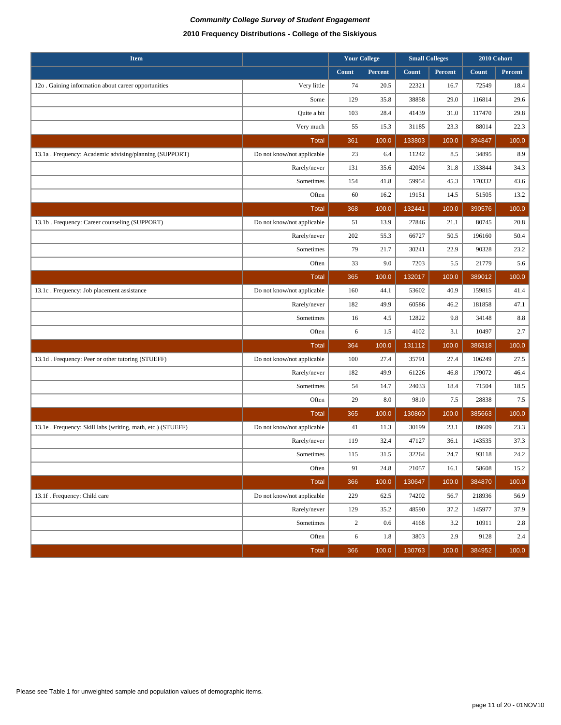| <b>Item</b>                                                  |                            | <b>Your College</b> |         | <b>Small Colleges</b> |         | 2010 Cohort |         |
|--------------------------------------------------------------|----------------------------|---------------------|---------|-----------------------|---------|-------------|---------|
|                                                              |                            | Count               | Percent | Count                 | Percent | Count       | Percent |
| 12o . Gaining information about career opportunities         | Very little                | 74                  | 20.5    | 22321                 | 16.7    | 72549       | 18.4    |
|                                                              | Some                       | 129                 | 35.8    | 38858                 | 29.0    | 116814      | 29.6    |
|                                                              | Quite a bit                | 103                 | 28.4    | 41439                 | 31.0    | 117470      | 29.8    |
|                                                              | Very much                  | 55                  | 15.3    | 31185                 | 23.3    | 88014       | 22.3    |
|                                                              | <b>Total</b>               | 361                 | 100.0   | 133803                | 100.0   | 394847      | 100.0   |
| 13.1a . Frequency: Academic advising/planning (SUPPORT)      | Do not know/not applicable | 23                  | 6.4     | 11242                 | 8.5     | 34895       | 8.9     |
|                                                              | Rarely/never               | 131                 | 35.6    | 42094                 | 31.8    | 133844      | 34.3    |
|                                                              | Sometimes                  | 154                 | 41.8    | 59954                 | 45.3    | 170332      | 43.6    |
|                                                              | Often                      | 60                  | 16.2    | 19151                 | 14.5    | 51505       | 13.2    |
|                                                              | <b>Total</b>               | 368                 | 100.0   | 132441                | 100.0   | 390576      | 100.0   |
| 13.1b. Frequency: Career counseling (SUPPORT)                | Do not know/not applicable | 51                  | 13.9    | 27846                 | 21.1    | 80745       | 20.8    |
|                                                              | Rarely/never               | 202                 | 55.3    | 66727                 | 50.5    | 196160      | 50.4    |
|                                                              | Sometimes                  | 79                  | 21.7    | 30241                 | 22.9    | 90328       | 23.2    |
|                                                              | Often                      | 33                  | 9.0     | 7203                  | 5.5     | 21779       | 5.6     |
|                                                              | <b>Total</b>               | 365                 | 100.0   | 132017                | 100.0   | 389012      | 100.0   |
| 13.1c. Frequency: Job placement assistance                   | Do not know/not applicable | 160                 | 44.1    | 53602                 | 40.9    | 159815      | 41.4    |
|                                                              | Rarely/never               | 182                 | 49.9    | 60586                 | 46.2    | 181858      | 47.1    |
|                                                              | Sometimes                  | 16                  | 4.5     | 12822                 | 9.8     | 34148       | $8.8\,$ |
|                                                              | Often                      | 6                   | 1.5     | 4102                  | 3.1     | 10497       | 2.7     |
|                                                              | <b>Total</b>               | 364                 | 100.0   | 131112                | 100.0   | 386318      | 100.0   |
| 13.1d. Frequency: Peer or other tutoring (STUEFF)            | Do not know/not applicable | 100                 | 27.4    | 35791                 | 27.4    | 106249      | 27.5    |
|                                                              | Rarely/never               | 182                 | 49.9    | 61226                 | 46.8    | 179072      | 46.4    |
|                                                              | Sometimes                  | 54                  | 14.7    | 24033                 | 18.4    | 71504       | 18.5    |
|                                                              | Often                      | 29                  | 8.0     | 9810                  | 7.5     | 28838       | 7.5     |
|                                                              | <b>Total</b>               | 365                 | 100.0   | 130860                | 100.0   | 385663      | 100.0   |
| 13.1e . Frequency: Skill labs (writing, math, etc.) (STUEFF) | Do not know/not applicable | 41                  | 11.3    | 30199                 | 23.1    | 89609       | 23.3    |
|                                                              | Rarely/never               | 119                 | 32.4    | 47127                 | 36.1    | 143535      | 37.3    |
|                                                              | Sometimes                  | 115                 | 31.5    | 32264                 | 24.7    | 93118       | 24.2    |
|                                                              | Often                      | 91                  | 24.8    | 21057                 | 16.1    | 58608       | 15.2    |
|                                                              | <b>Total</b>               | 366                 | 100.0   | 130647                | 100.0   | 384870      | 100.0   |
| 13.1f. Frequency: Child care                                 | Do not know/not applicable | 229                 | 62.5    | 74202                 | 56.7    | 218936      | 56.9    |
|                                                              | Rarely/never               | 129                 | 35.2    | 48590                 | 37.2    | 145977      | 37.9    |
|                                                              | Sometimes                  | $\overline{c}$      | 0.6     | 4168                  | 3.2     | 10911       | 2.8     |
|                                                              | Often                      | 6                   | 1.8     | 3803                  | 2.9     | 9128        | 2.4     |
|                                                              | <b>Total</b>               | 366                 | 100.0   | 130763                | 100.0   | 384952      | 100.0   |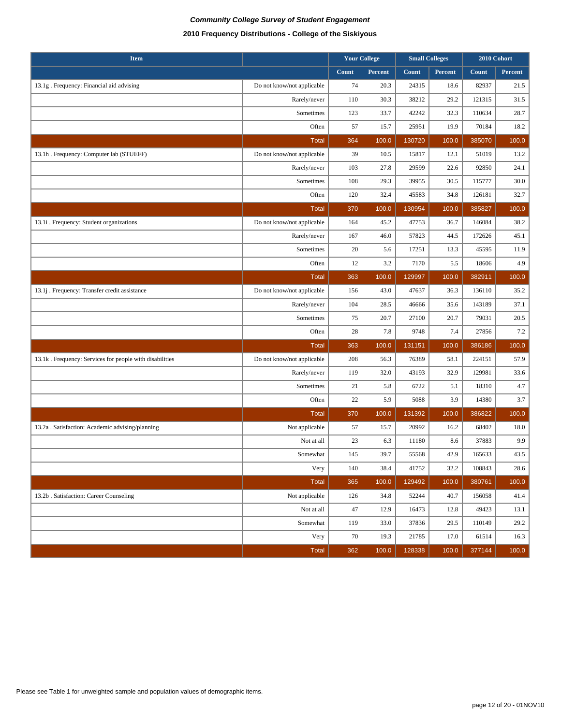| <b>Item</b>                                             |                            | <b>Your College</b><br><b>Small Colleges</b> |         |              |         | 2010 Cohort |         |
|---------------------------------------------------------|----------------------------|----------------------------------------------|---------|--------------|---------|-------------|---------|
|                                                         |                            | Count                                        | Percent | <b>Count</b> | Percent | Count       | Percent |
| 13.1g . Frequency: Financial aid advising               | Do not know/not applicable | 74                                           | 20.3    | 24315        | 18.6    | 82937       | 21.5    |
|                                                         | Rarely/never               | 110                                          | 30.3    | 38212        | 29.2    | 121315      | 31.5    |
|                                                         | Sometimes                  | 123                                          | 33.7    | 42242        | 32.3    | 110634      | 28.7    |
|                                                         | Often                      | 57                                           | 15.7    | 25951        | 19.9    | 70184       | 18.2    |
|                                                         | <b>Total</b>               | 364                                          | 100.0   | 130720       | 100.0   | 385070      | 100.0   |
| 13.1h . Frequency: Computer lab (STUEFF)                | Do not know/not applicable | 39                                           | 10.5    | 15817        | 12.1    | 51019       | 13.2    |
|                                                         | Rarely/never               | 103                                          | 27.8    | 29599        | 22.6    | 92850       | 24.1    |
|                                                         | Sometimes                  | 108                                          | 29.3    | 39955        | 30.5    | 115777      | 30.0    |
|                                                         | Often                      | 120                                          | 32.4    | 45583        | 34.8    | 126181      | 32.7    |
|                                                         | <b>Total</b>               | 370                                          | 100.0   | 130954       | 100.0   | 385827      | 100.0   |
| 13.1i . Frequency: Student organizations                | Do not know/not applicable | 164                                          | 45.2    | 47753        | 36.7    | 146084      | 38.2    |
|                                                         | Rarely/never               | 167                                          | 46.0    | 57823        | 44.5    | 172626      | 45.1    |
|                                                         | Sometimes                  | 20                                           | 5.6     | 17251        | 13.3    | 45595       | 11.9    |
|                                                         | Often                      | 12                                           | 3.2     | 7170         | 5.5     | 18606       | 4.9     |
|                                                         | <b>Total</b>               | 363                                          | 100.0   | 129997       | 100.0   | 382911      | 100.0   |
| 13.1j . Frequency: Transfer credit assistance           | Do not know/not applicable | 156                                          | 43.0    | 47637        | 36.3    | 136110      | 35.2    |
|                                                         | Rarely/never               | 104                                          | 28.5    | 46666        | 35.6    | 143189      | 37.1    |
|                                                         | Sometimes                  | 75                                           | 20.7    | 27100        | 20.7    | 79031       | 20.5    |
|                                                         | Often                      | 28                                           | 7.8     | 9748         | 7.4     | 27856       | 7.2     |
|                                                         | Total                      | 363                                          | 100.0   | 131151       | 100.0   | 386186      | 100.0   |
| 13.1k. Frequency: Services for people with disabilities | Do not know/not applicable | 208                                          | 56.3    | 76389        | 58.1    | 224151      | 57.9    |
|                                                         | Rarely/never               | 119                                          | 32.0    | 43193        | 32.9    | 129981      | 33.6    |
|                                                         | Sometimes                  | 21                                           | 5.8     | 6722         | 5.1     | 18310       | 4.7     |
|                                                         | Often                      | 22                                           | 5.9     | 5088         | 3.9     | 14380       | 3.7     |
|                                                         | <b>Total</b>               | 370                                          | 100.0   | 131392       | 100.0   | 386822      | 100.0   |
| 13.2a . Satisfaction: Academic advising/planning        | Not applicable             | 57                                           | 15.7    | 20992        | 16.2    | 68402       | 18.0    |
|                                                         | Not at all                 | 23                                           | 6.3     | 11180        | 8.6     | 37883       | 9.9     |
|                                                         | Somewhat                   | 145                                          | 39.7    | 55568        | 42.9    | 165633      | 43.5    |
|                                                         | Very                       | 140                                          | 38.4    | 41752        | 32.2    | 108843      | 28.6    |
|                                                         | <b>Total</b>               | 365                                          | 100.0   | 129492       | 100.0   | 380761      | 100.0   |
| 13.2b . Satisfaction: Career Counseling                 | Not applicable             | 126                                          | 34.8    | 52244        | 40.7    | 156058      | 41.4    |
|                                                         | Not at all                 | 47                                           | 12.9    | 16473        | 12.8    | 49423       | 13.1    |
|                                                         | Somewhat                   | 119                                          | 33.0    | 37836        | 29.5    | 110149      | 29.2    |
|                                                         | Very                       | $70\,$                                       | 19.3    | 21785        | 17.0    | 61514       | 16.3    |
|                                                         | Total                      | 362                                          | 100.0   | 128338       | 100.0   | 377144      | 100.0   |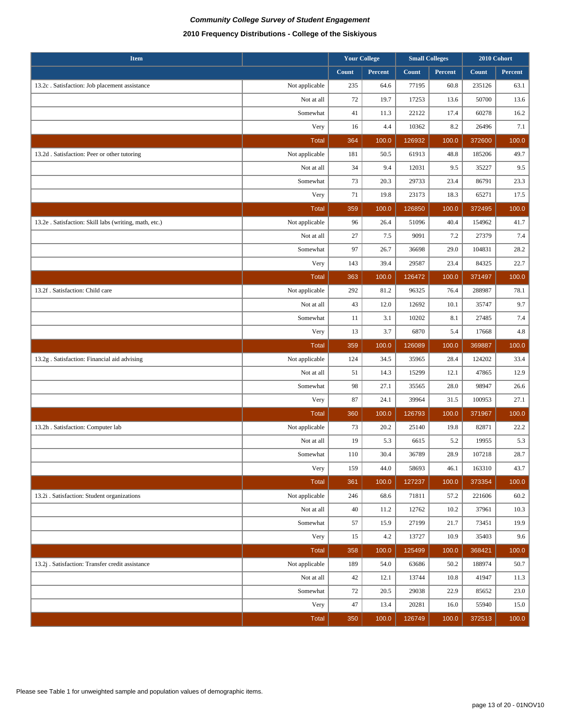| <b>Item</b>                                            | <b>Your College</b> |       |         |        |         | <b>Small Colleges</b> |         | 2010 Cohort |  |
|--------------------------------------------------------|---------------------|-------|---------|--------|---------|-----------------------|---------|-------------|--|
|                                                        |                     | Count | Percent | Count  | Percent | Count                 | Percent |             |  |
| 13.2c. Satisfaction: Job placement assistance          | Not applicable      | 235   | 64.6    | 77195  | 60.8    | 235126                | 63.1    |             |  |
|                                                        | Not at all          | 72    | 19.7    | 17253  | 13.6    | 50700                 | 13.6    |             |  |
|                                                        | Somewhat            | 41    | 11.3    | 22122  | 17.4    | 60278                 | 16.2    |             |  |
|                                                        | Very                | 16    | 4.4     | 10362  | 8.2     | 26496                 | 7.1     |             |  |
|                                                        | <b>Total</b>        | 364   | 100.0   | 126932 | 100.0   | 372600                | 100.0   |             |  |
| 13.2d . Satisfaction: Peer or other tutoring           | Not applicable      | 181   | 50.5    | 61913  | 48.8    | 185206                | 49.7    |             |  |
|                                                        | Not at all          | 34    | 9.4     | 12031  | 9.5     | 35227                 | 9.5     |             |  |
|                                                        | Somewhat            | 73    | 20.3    | 29733  | 23.4    | 86791                 | 23.3    |             |  |
|                                                        | Very                | 71    | 19.8    | 23173  | 18.3    | 65271                 | 17.5    |             |  |
|                                                        | <b>Total</b>        | 359   | 100.0   | 126850 | 100.0   | 372495                | 100.0   |             |  |
| 13.2e . Satisfaction: Skill labs (writing, math, etc.) | Not applicable      | 96    | 26.4    | 51096  | 40.4    | 154962                | 41.7    |             |  |
|                                                        | Not at all          | 27    | 7.5     | 9091   | 7.2     | 27379                 | 7.4     |             |  |
|                                                        | Somewhat            | 97    | 26.7    | 36698  | 29.0    | 104831                | 28.2    |             |  |
|                                                        | Very                | 143   | 39.4    | 29587  | 23.4    | 84325                 | 22.7    |             |  |
|                                                        | <b>Total</b>        | 363   | 100.0   | 126472 | 100.0   | 371497                | 100.0   |             |  |
| 13.2f . Satisfaction: Child care                       | Not applicable      | 292   | 81.2    | 96325  | 76.4    | 288987                | 78.1    |             |  |
|                                                        | Not at all          | 43    | 12.0    | 12692  | 10.1    | 35747                 | 9.7     |             |  |
|                                                        | Somewhat            | 11    | 3.1     | 10202  | 8.1     | 27485                 | 7.4     |             |  |
|                                                        | Very                | 13    | 3.7     | 6870   | 5.4     | 17668                 | 4.8     |             |  |
|                                                        | <b>Total</b>        | 359   | 100.0   | 126089 | 100.0   | 369887                | 100.0   |             |  |
| 13.2g . Satisfaction: Financial aid advising           | Not applicable      | 124   | 34.5    | 35965  | 28.4    | 124202                | 33.4    |             |  |
|                                                        | Not at all          | 51    | 14.3    | 15299  | 12.1    | 47865                 | 12.9    |             |  |
|                                                        | Somewhat            | 98    | 27.1    | 35565  | 28.0    | 98947                 | 26.6    |             |  |
|                                                        | Very                | 87    | 24.1    | 39964  | 31.5    | 100953                | 27.1    |             |  |
|                                                        | <b>Total</b>        |       |         |        |         |                       |         |             |  |
| 13.2h . Satisfaction: Computer lab                     |                     | 360   | 100.0   | 126793 | 100.0   | 371967                | 100.0   |             |  |
|                                                        | Not applicable      | 73    | 20.2    | 25140  | 19.8    | 82871                 | 22.2    |             |  |
|                                                        | Not at all          | 19    | 5.3     | 6615   | 5.2     | 19955                 | 5.3     |             |  |
|                                                        | Somewhat            | 110   | 30.4    | 36789  | 28.9    | 107218                | 28.7    |             |  |
|                                                        | Very                | 159   | 44.0    | 58693  | 46.1    | 163310                | 43.7    |             |  |
|                                                        | <b>Total</b>        | 361   | 100.0   | 127237 | 100.0   | 373354                | 100.0   |             |  |
| 13.2i . Satisfaction: Student organizations            | Not applicable      | 246   | 68.6    | 71811  | 57.2    | 221606                | 60.2    |             |  |
|                                                        | Not at all          | 40    | 11.2    | 12762  | 10.2    | 37961                 | 10.3    |             |  |
|                                                        | Somewhat            | 57    | 15.9    | 27199  | 21.7    | 73451                 | 19.9    |             |  |
|                                                        | Very                | 15    | 4.2     | 13727  | 10.9    | 35403                 | 9.6     |             |  |
|                                                        | <b>Total</b>        | 358   | 100.0   | 125499 | 100.0   | 368421                | 100.0   |             |  |
| 13.2j . Satisfaction: Transfer credit assistance       | Not applicable      | 189   | 54.0    | 63686  | 50.2    | 188974                | 50.7    |             |  |
|                                                        | Not at all          | 42    | 12.1    | 13744  | 10.8    | 41947                 | 11.3    |             |  |
|                                                        | Somewhat            | 72    | 20.5    | 29038  | 22.9    | 85652                 | 23.0    |             |  |
|                                                        | Very                | 47    | 13.4    | 20281  | 16.0    | 55940                 | 15.0    |             |  |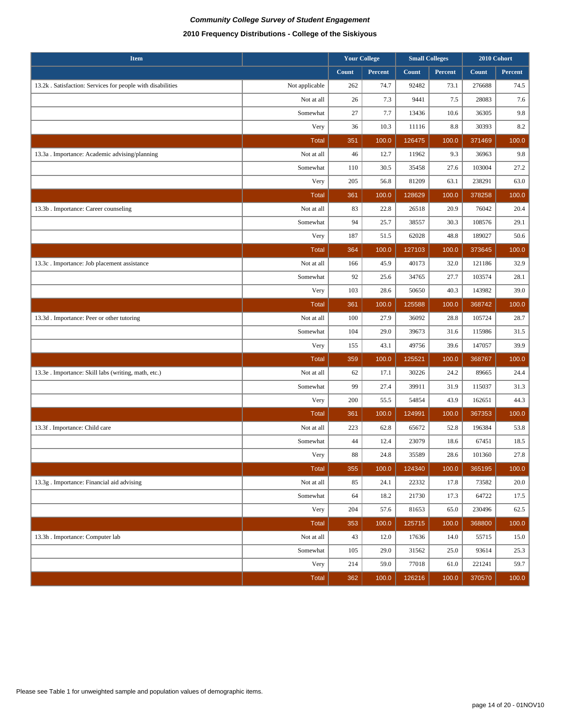| <b>Item</b>                                                |                |       | <b>Your College</b> |        | <b>Small Colleges</b> |        | 2010 Cohort |
|------------------------------------------------------------|----------------|-------|---------------------|--------|-----------------------|--------|-------------|
|                                                            |                | Count | Percent             | Count  | Percent               | Count  | Percent     |
| 13.2k. Satisfaction: Services for people with disabilities | Not applicable | 262   | 74.7                | 92482  | 73.1                  | 276688 | 74.5        |
|                                                            | Not at all     | 26    | 7.3                 | 9441   | 7.5                   | 28083  | 7.6         |
|                                                            | Somewhat       | 27    | 7.7                 | 13436  | 10.6                  | 36305  | 9.8         |
|                                                            | Very           | 36    | 10.3                | 11116  | 8.8                   | 30393  | 8.2         |
|                                                            | <b>Total</b>   | 351   | 100.0               | 126475 | 100.0                 | 371469 | 100.0       |
| 13.3a . Importance: Academic advising/planning             | Not at all     | 46    | 12.7                | 11962  | 9.3                   | 36963  | 9.8         |
|                                                            | Somewhat       | 110   | 30.5                | 35458  | 27.6                  | 103004 | 27.2        |
|                                                            | Very           | 205   | 56.8                | 81209  | 63.1                  | 238291 | 63.0        |
|                                                            | <b>Total</b>   | 361   | 100.0               | 128629 | 100.0                 | 378258 | 100.0       |
| 13.3b . Importance: Career counseling                      | Not at all     | 83    | 22.8                | 26518  | 20.9                  | 76042  | 20.4        |
|                                                            | Somewhat       | 94    | 25.7                | 38557  | 30.3                  | 108576 | 29.1        |
|                                                            | Very           | 187   | 51.5                | 62028  | 48.8                  | 189027 | 50.6        |
|                                                            | <b>Total</b>   | 364   | 100.0               | 127103 | 100.0                 | 373645 | 100.0       |
| 13.3c. Importance: Job placement assistance                | Not at all     | 166   | 45.9                | 40173  | 32.0                  | 121186 | 32.9        |
|                                                            | Somewhat       | 92    | 25.6                | 34765  | 27.7                  | 103574 | 28.1        |
|                                                            | Very           | 103   | 28.6                | 50650  | 40.3                  | 143982 | 39.0        |
|                                                            | <b>Total</b>   | 361   | 100.0               | 125588 | 100.0                 | 368742 | 100.0       |
| 13.3d. Importance: Peer or other tutoring                  | Not at all     | 100   | 27.9                | 36092  | 28.8                  | 105724 | 28.7        |
|                                                            | Somewhat       | 104   | 29.0                | 39673  | 31.6                  | 115986 | 31.5        |
|                                                            | Very           | 155   | 43.1                | 49756  | 39.6                  | 147057 | 39.9        |
|                                                            | <b>Total</b>   | 359   | 100.0               | 125521 | 100.0                 | 368767 | 100.0       |
| 13.3e . Importance: Skill labs (writing, math, etc.)       | Not at all     | 62    | 17.1                | 30226  | 24.2                  | 89665  | 24.4        |
|                                                            | Somewhat       | 99    | 27.4                | 39911  | 31.9                  | 115037 | 31.3        |
|                                                            | Very           | 200   | 55.5                | 54854  | 43.9                  | 162651 | 44.3        |
|                                                            | <b>Total</b>   | 361   | 100.0               | 124991 | 100.0                 | 367353 | 100.0       |
| 13.3f. Importance: Child care                              | Not at all     | 223   | 62.8                | 65672  | 52.8                  | 196384 | 53.8        |
|                                                            | Somewhat       | 44    | 12.4                | 23079  | 18.6                  | 67451  | 18.5        |
|                                                            | Very           | 88    | 24.8                | 35589  | 28.6                  | 101360 | 27.8        |
|                                                            | <b>Total</b>   | 355   | 100.0               | 124340 | 100.0                 | 365195 | 100.0       |
| 13.3g . Importance: Financial aid advising                 | Not at all     | 85    | 24.1                | 22332  | 17.8                  | 73582  | 20.0        |
|                                                            | Somewhat       | 64    | 18.2                | 21730  | 17.3                  | 64722  | 17.5        |
|                                                            | Very           | 204   | 57.6                | 81653  | 65.0                  | 230496 | 62.5        |
|                                                            | <b>Total</b>   | 353   | 100.0               | 125715 | 100.0                 | 368800 | 100.0       |
| 13.3h . Importance: Computer lab                           | Not at all     | 43    | 12.0                | 17636  | 14.0                  | 55715  | 15.0        |
|                                                            | Somewhat       | 105   | 29.0                | 31562  | 25.0                  | 93614  | 25.3        |
|                                                            | Very           | 214   | 59.0                | 77018  | 61.0                  | 221241 | 59.7        |
|                                                            | <b>Total</b>   | 362   | 100.0               | 126216 | 100.0                 | 370570 | 100.0       |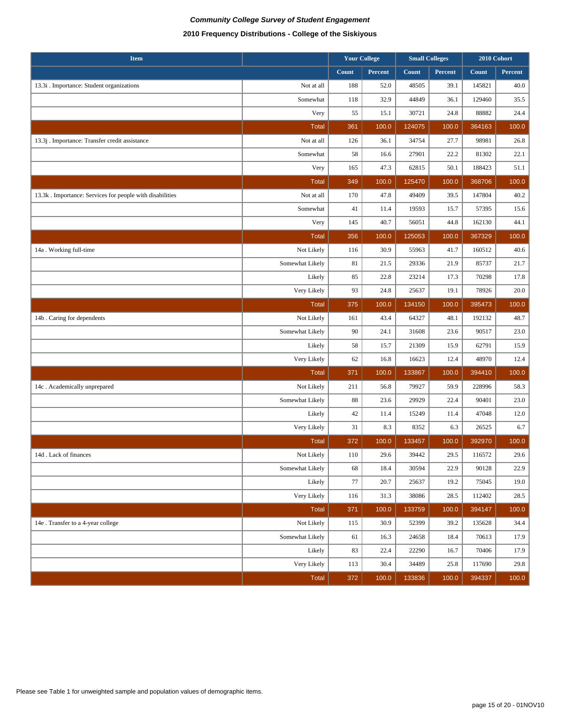| <b>Item</b>                                              |                 | <b>Your College</b> |         | <b>Small Colleges</b> |         | 2010 Cohort |         |
|----------------------------------------------------------|-----------------|---------------------|---------|-----------------------|---------|-------------|---------|
|                                                          |                 | Count               | Percent | Count                 | Percent | Count       | Percent |
| 13.3i . Importance: Student organizations                | Not at all      | 188                 | 52.0    | 48505                 | 39.1    | 145821      | 40.0    |
|                                                          | Somewhat        | 118                 | 32.9    | 44849                 | 36.1    | 129460      | 35.5    |
|                                                          | Very            | 55                  | 15.1    | 30721                 | 24.8    | 88882       | 24.4    |
|                                                          | <b>Total</b>    | 361                 | 100.0   | 124075                | 100.0   | 364163      | 100.0   |
| 13.3j . Importance: Transfer credit assistance           | Not at all      | 126                 | 36.1    | 34754                 | 27.7    | 98981       | 26.8    |
|                                                          | Somewhat        | 58                  | 16.6    | 27901                 | 22.2    | 81302       | 22.1    |
|                                                          | Very            | 165                 | 47.3    | 62815                 | 50.1    | 188423      | 51.1    |
|                                                          | <b>Total</b>    | 349                 | 100.0   | 125470                | 100.0   | 368706      | 100.0   |
| 13.3k. Importance: Services for people with disabilities | Not at all      | 170                 | 47.8    | 49409                 | 39.5    | 147804      | 40.2    |
|                                                          | Somewhat        | 41                  | 11.4    | 19593                 | 15.7    | 57395       | 15.6    |
|                                                          | Very            | 145                 | 40.7    | 56051                 | 44.8    | 162130      | 44.1    |
|                                                          | <b>Total</b>    | 356                 | 100.0   | 125053                | 100.0   | 367329      | 100.0   |
| 14a. Working full-time                                   | Not Likely      | 116                 | 30.9    | 55963                 | 41.7    | 160512      | 40.6    |
|                                                          | Somewhat Likely | 81                  | 21.5    | 29336                 | 21.9    | 85737       | 21.7    |
|                                                          | Likely          | 85                  | 22.8    | 23214                 | 17.3    | 70298       | 17.8    |
|                                                          | Very Likely     | 93                  | 24.8    | 25637                 | 19.1    | 78926       | 20.0    |
|                                                          | <b>Total</b>    | 375                 | 100.0   | 134150                | 100.0   | 395473      | 100.0   |
| 14b. Caring for dependents                               | Not Likely      | 161                 | 43.4    | 64327                 | 48.1    | 192132      | 48.7    |
|                                                          | Somewhat Likely | 90                  | 24.1    | 31608                 | 23.6    | 90517       | 23.0    |
|                                                          | Likely          | 58                  | 15.7    | 21309                 | 15.9    | 62791       | 15.9    |
|                                                          | Very Likely     | 62                  | 16.8    | 16623                 | 12.4    | 48970       | 12.4    |
|                                                          | <b>Total</b>    | 371                 | 100.0   | 133867                | 100.0   | 394410      | 100.0   |
| 14c. Academically unprepared                             | Not Likely      | 211                 | 56.8    | 79927                 | 59.9    | 228996      | 58.3    |
|                                                          | Somewhat Likely | 88                  | 23.6    | 29929                 | 22.4    | 90401       | 23.0    |
|                                                          | Likely          | 42                  | 11.4    | 15249                 | 11.4    | 47048       | 12.0    |
|                                                          | Very Likely     | 31                  | 8.3     | 8352                  | 6.3     | 26525       | 6.7     |
|                                                          | <b>Total</b>    | 372                 | 100.0   | 133457                | 100.0   | 392970      | 100.0   |
| 14d. Lack of finances                                    | Not Likely      | 110                 | 29.6    | 39442                 | 29.5    | 116572      | 29.6    |
|                                                          | Somewhat Likely | 68                  | 18.4    | 30594                 | 22.9    | 90128       | 22.9    |
|                                                          | Likely          | 77                  | 20.7    | 25637                 | 19.2    | 75045       | 19.0    |
|                                                          | Very Likely     | 116                 | 31.3    | 38086                 | 28.5    | 112402      | 28.5    |
|                                                          | <b>Total</b>    | 371                 | 100.0   | 133759                | 100.0   | 394147      | 100.0   |
| 14e . Transfer to a 4-year college                       | Not Likely      | 115                 | 30.9    | 52399                 | 39.2    | 135628      | 34.4    |
|                                                          | Somewhat Likely | 61                  | 16.3    | 24658                 | 18.4    | 70613       | 17.9    |
|                                                          | Likely          | 83                  | 22.4    | 22290                 | 16.7    | 70406       | 17.9    |
|                                                          | Very Likely     | 113                 | 30.4    | 34489                 | 25.8    | 117690      | 29.8    |
|                                                          | Total           | 372                 | 100.0   | 133836                | 100.0   | 394337      | 100.0   |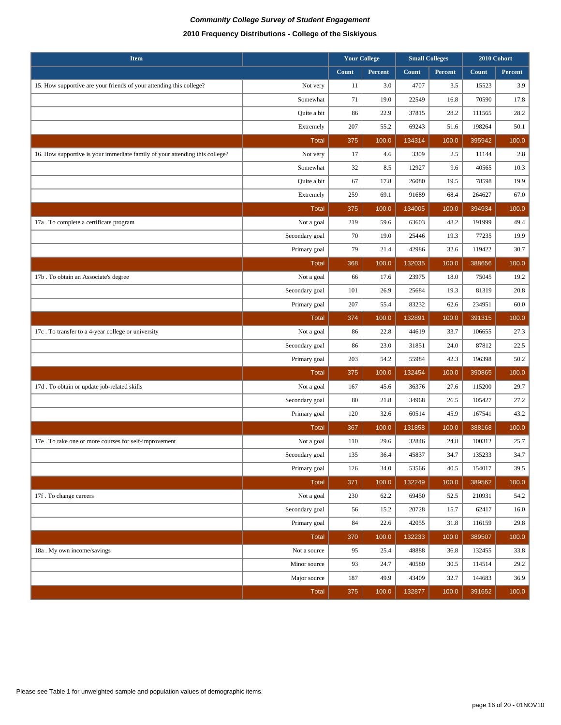| <b>Item</b>                                                                 |                | <b>Your College</b> |         |        | <b>Small Colleges</b> |        | 2010 Cohort |
|-----------------------------------------------------------------------------|----------------|---------------------|---------|--------|-----------------------|--------|-------------|
|                                                                             |                | Count               | Percent | Count  | Percent               | Count  | Percent     |
| 15. How supportive are your friends of your attending this college?         | Not very       | 11                  | 3.0     | 4707   | 3.5                   | 15523  | 3.9         |
|                                                                             | Somewhat       | 71                  | 19.0    | 22549  | 16.8                  | 70590  | 17.8        |
|                                                                             | Quite a bit    | 86                  | 22.9    | 37815  | 28.2                  | 111565 | 28.2        |
|                                                                             | Extremely      | 207                 | 55.2    | 69243  | 51.6                  | 198264 | 50.1        |
|                                                                             | <b>Total</b>   | 375                 | 100.0   | 134314 | 100.0                 | 395942 | 100.0       |
| 16. How supportive is your immediate family of your attending this college? | Not very       | 17                  | 4.6     | 3309   | 2.5                   | 11144  | 2.8         |
|                                                                             | Somewhat       | 32                  | 8.5     | 12927  | 9.6                   | 40565  | 10.3        |
|                                                                             | Quite a bit    | 67                  | 17.8    | 26080  | 19.5                  | 78598  | 19.9        |
|                                                                             | Extremely      | 259                 | 69.1    | 91689  | 68.4                  | 264627 | 67.0        |
|                                                                             | Total          | 375                 | 100.0   | 134005 | 100.0                 | 394934 | 100.0       |
| 17a . To complete a certificate program                                     | Not a goal     | 219                 | 59.6    | 63603  | 48.2                  | 191999 | 49.4        |
|                                                                             | Secondary goal | 70                  | 19.0    | 25446  | 19.3                  | 77235  | 19.9        |
|                                                                             | Primary goal   | 79                  | 21.4    | 42986  | 32.6                  | 119422 | 30.7        |
|                                                                             | <b>Total</b>   | 368                 | 100.0   | 132035 | 100.0                 | 388656 | 100.0       |
| 17b. To obtain an Associate's degree                                        | Not a goal     | 66                  | 17.6    | 23975  | 18.0                  | 75045  | 19.2        |
|                                                                             | Secondary goal | 101                 | 26.9    | 25684  | 19.3                  | 81319  | 20.8        |
|                                                                             | Primary goal   | 207                 | 55.4    | 83232  | 62.6                  | 234951 | 60.0        |
|                                                                             | <b>Total</b>   | 374                 | 100.0   | 132891 | 100.0                 | 391315 | 100.0       |
| 17c. To transfer to a 4-year college or university                          | Not a goal     | 86                  | 22.8    | 44619  | 33.7                  | 106655 | 27.3        |
|                                                                             | Secondary goal | 86                  | 23.0    | 31851  | 24.0                  | 87812  | 22.5        |
|                                                                             | Primary goal   | 203                 | 54.2    | 55984  | 42.3                  | 196398 | 50.2        |
|                                                                             | <b>Total</b>   | 375                 | 100.0   | 132454 | 100.0                 | 390865 | 100.0       |
| 17d. To obtain or update job-related skills                                 | Not a goal     | 167                 | 45.6    | 36376  | 27.6                  | 115200 | 29.7        |
|                                                                             | Secondary goal | 80                  | 21.8    | 34968  | 26.5                  | 105427 | 27.2        |
|                                                                             | Primary goal   | 120                 | 32.6    | 60514  | 45.9                  | 167541 | 43.2        |
|                                                                             | <b>Total</b>   | 367                 | 100.0   | 131858 | 100.0                 | 388168 | 100.0       |
| 17e. To take one or more courses for self-improvement                       | Not a goal     | 110                 | 29.6    | 32846  | 24.8                  | 100312 | 25.7        |
|                                                                             | Secondary goal | 135                 | 36.4    | 45837  | 34.7                  | 135233 | 34.7        |
|                                                                             | Primary goal   | 126                 | 34.0    | 53566  | 40.5                  | 154017 | 39.5        |
|                                                                             | <b>Total</b>   | 371                 | 100.0   | 132249 | 100.0                 | 389562 | 100.0       |
| 17f. To change careers                                                      | Not a goal     | 230                 | 62.2    | 69450  | 52.5                  | 210931 | 54.2        |
|                                                                             | Secondary goal | 56                  | 15.2    | 20728  | 15.7                  | 62417  | 16.0        |
|                                                                             | Primary goal   | 84                  | 22.6    | 42055  | 31.8                  | 116159 | 29.8        |
|                                                                             | <b>Total</b>   | 370                 | 100.0   | 132233 | 100.0                 | 389507 | 100.0       |
| 18a . My own income/savings                                                 | Not a source   | 95                  | 25.4    | 48888  | 36.8                  | 132455 | 33.8        |
|                                                                             | Minor source   | 93                  | 24.7    | 40580  | 30.5                  | 114514 | 29.2        |
|                                                                             | Major source   | 187                 | 49.9    | 43409  | 32.7                  | 144683 | 36.9        |
|                                                                             | <b>Total</b>   | 375                 | 100.0   | 132877 | 100.0                 | 391652 | 100.0       |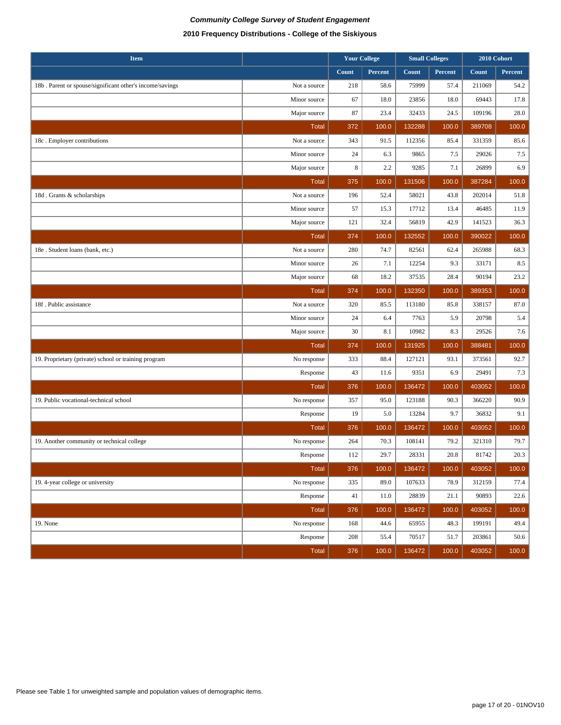| <b>Item</b>                                              |              | <b>Your College</b><br><b>Small Colleges</b> |         |              | 2010 Cohort |        |         |
|----------------------------------------------------------|--------------|----------------------------------------------|---------|--------------|-------------|--------|---------|
|                                                          |              | Count                                        | Percent | <b>Count</b> | Percent     | Count  | Percent |
| 18b. Parent or spouse/significant other's income/savings | Not a source | 218                                          | 58.6    | 75999        | 57.4        | 211069 | 54.2    |
|                                                          | Minor source | 67                                           | 18.0    | 23856        | 18.0        | 69443  | 17.8    |
|                                                          | Major source | 87                                           | 23.4    | 32433        | 24.5        | 109196 | 28.0    |
|                                                          | <b>Total</b> | 372                                          | 100.0   | 132288       | 100.0       | 389708 | 100.0   |
| 18c. Employer contributions                              | Not a source | 343                                          | 91.5    | 112356       | 85.4        | 331359 | 85.6    |
|                                                          | Minor source | 24                                           | 6.3     | 9865         | 7.5         | 29026  | 7.5     |
|                                                          | Major source | $\,8\,$                                      | 2.2     | 9285         | 7.1         | 26899  | 6.9     |
|                                                          | <b>Total</b> | 375                                          | 100.0   | 131506       | 100.0       | 387284 | 100.0   |
| 18d. Grants & scholarships                               | Not a source | 196                                          | 52.4    | 58021        | 43.8        | 202014 | 51.8    |
|                                                          | Minor source | 57                                           | 15.3    | 17712        | 13.4        | 46485  | 11.9    |
|                                                          | Major source | 121                                          | 32.4    | 56819        | 42.9        | 141523 | 36.3    |
|                                                          | <b>Total</b> | 374                                          | 100.0   | 132552       | 100.0       | 390022 | 100.0   |
| 18e . Student loans (bank, etc.)                         | Not a source | 280                                          | 74.7    | 82561        | 62.4        | 265988 | 68.3    |
|                                                          | Minor source | 26                                           | 7.1     | 12254        | 9.3         | 33171  | 8.5     |
|                                                          | Major source | 68                                           | 18.2    | 37535        | 28.4        | 90194  | 23.2    |
|                                                          | <b>Total</b> | 374                                          | 100.0   | 132350       | 100.0       | 389353 | 100.0   |
| 18f. Public assistance                                   | Not a source | 320                                          | 85.5    | 113180       | 85.8        | 338157 | 87.0    |
|                                                          | Minor source | 24                                           | 6.4     | 7763         | 5.9         | 20798  | 5.4     |
|                                                          | Major source | 30                                           | 8.1     | 10982        | 8.3         | 29526  | 7.6     |
|                                                          | <b>Total</b> | 374                                          | 100.0   | 131925       | 100.0       | 388481 | 100.0   |
| 19. Proprietary (private) school or training program     | No response  | 333                                          | 88.4    | 127121       | 93.1        | 373561 | 92.7    |
|                                                          | Response     | 43                                           | 11.6    | 9351         | 6.9         | 29491  | 7.3     |
|                                                          | <b>Total</b> | 376                                          | 100.0   | 136472       | 100.0       | 403052 | 100.0   |
| 19. Public vocational-technical school                   | No response  | 357                                          | 95.0    | 123188       | 90.3        | 366220 | 90.9    |
|                                                          | Response     | 19                                           | 5.0     | 13284        | 9.7         | 36832  | 9.1     |
|                                                          | <b>Total</b> | 376                                          | 100.0   | 136472       | 100.0       | 403052 | 100.0   |
| 19. Another community or technical college               | No response  | 264                                          | 70.3    | 108141       | 79.2        | 321310 | 79.7    |
|                                                          | Response     | 112                                          | 29.7    | 28331        | 20.8        | 81742  | 20.3    |
|                                                          | Total        | 376                                          | 100.0   | 136472       | 100.0       | 403052 | 100.0   |
| 19. 4-year college or university                         | No response  | 335                                          | 89.0    | 107633       | 78.9        | 312159 | 77.4    |
|                                                          | Response     | 41                                           | 11.0    | 28839        | 21.1        | 90893  | 22.6    |
|                                                          | Total        | 376                                          | 100.0   | 136472       | 100.0       | 403052 | 100.0   |
| 19. None                                                 | No response  | 168                                          | 44.6    | 65955        | 48.3        | 199191 | 49.4    |
|                                                          | Response     | 208                                          | 55.4    | 70517        | 51.7        | 203861 | 50.6    |
|                                                          | Total        | 376                                          | 100.0   | 136472       | 100.0       | 403052 | 100.0   |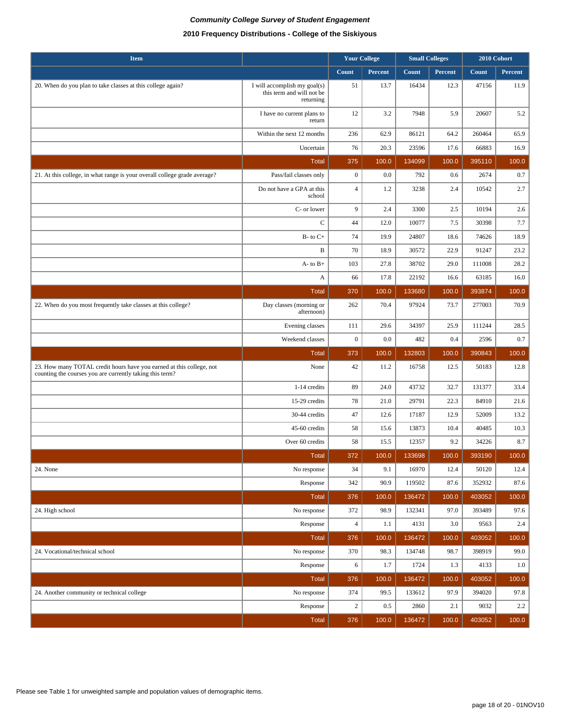| <b>Item</b>                                                                                                                      |                                                                        | <b>Your College</b> |              |                |              | <b>Small Colleges</b> |              | 2010 Cohort |  |  |
|----------------------------------------------------------------------------------------------------------------------------------|------------------------------------------------------------------------|---------------------|--------------|----------------|--------------|-----------------------|--------------|-------------|--|--|
|                                                                                                                                  |                                                                        | Count               | Percent      | Count          | Percent      | Count                 | Percent      |             |  |  |
| 20. When do you plan to take classes at this college again?                                                                      | I will accomplish my goal(s)<br>this term and will not be<br>returning | 51                  | 13.7         | 16434          | 12.3         | 47156                 | 11.9         |             |  |  |
|                                                                                                                                  | I have no current plans to<br>return                                   | 12                  | 3.2          | 7948           | 5.9          | 20607                 | 5.2          |             |  |  |
|                                                                                                                                  | Within the next 12 months                                              | 236                 | 62.9         | 86121          | 64.2         | 260464                | 65.9         |             |  |  |
|                                                                                                                                  | Uncertain                                                              | 76                  | 20.3         | 23596          | 17.6         | 66883                 | 16.9         |             |  |  |
|                                                                                                                                  | <b>Total</b>                                                           | 375                 | 100.0        | 134099         | 100.0        | 395110                | 100.0        |             |  |  |
| 21. At this college, in what range is your overall college grade average?                                                        | Pass/fail classes only                                                 | $\mathbf{0}$        | 0.0          | 792            | 0.6          | 2674                  | 0.7          |             |  |  |
|                                                                                                                                  | Do not have a GPA at this<br>school                                    | $\overline{4}$      | 1.2          | 3238           | 2.4          | 10542                 | 2.7          |             |  |  |
|                                                                                                                                  | C- or lower                                                            | 9                   | 2.4          | 3300           | 2.5          | 10194                 | 2.6          |             |  |  |
|                                                                                                                                  | $\mathsf{C}$                                                           | 44                  | 12.0         | 10077          | 7.5          | 30398                 | 7.7          |             |  |  |
|                                                                                                                                  | $B-$ to $C+$                                                           | 74                  | 19.9         | 24807          | 18.6         | 74626                 | 18.9         |             |  |  |
|                                                                                                                                  | B                                                                      | 70                  | 18.9         | 30572          | 22.9         | 91247                 | 23.2         |             |  |  |
|                                                                                                                                  | $A-$ to $B+$                                                           | 103                 | 27.8         | 38702          | 29.0         | 111008                | 28.2         |             |  |  |
|                                                                                                                                  | A                                                                      | 66                  | 17.8         | 22192          | 16.6         | 63185                 | 16.0         |             |  |  |
|                                                                                                                                  | <b>Total</b>                                                           | 370                 | 100.0        | 133680         | 100.0        | 393874                | 100.0        |             |  |  |
| 22. When do you most frequently take classes at this college?                                                                    | Day classes (morning or<br>afternoon)                                  | 262                 | 70.4         | 97924          | 73.7         | 277003                | 70.9         |             |  |  |
|                                                                                                                                  | Evening classes                                                        | 111                 | 29.6         | 34397          | 25.9         | 111244                | 28.5         |             |  |  |
|                                                                                                                                  | Weekend classes                                                        | $\boldsymbol{0}$    | 0.0          | 482            | 0.4          | 2596                  | 0.7          |             |  |  |
|                                                                                                                                  | <b>Total</b>                                                           | 373                 | 100.0        | 132803         | 100.0        | 390843                | 100.0        |             |  |  |
| 23. How many TOTAL credit hours have you earned at this college, not<br>counting the courses you are currently taking this term? | None                                                                   | 42                  | 11.2         | 16758          | 12.5         | 50183                 | 12.8         |             |  |  |
|                                                                                                                                  | 1-14 credits                                                           | 89                  | 24.0         | 43732          | 32.7         | 131377                | 33.4         |             |  |  |
|                                                                                                                                  | 15-29 credits                                                          | 78                  | 21.0         | 29791          | 22.3         | 84910                 | 21.6         |             |  |  |
|                                                                                                                                  | 30-44 credits                                                          | 47                  | 12.6         | 17187          | 12.9         | 52009                 | 13.2         |             |  |  |
|                                                                                                                                  | 45-60 credits                                                          | 58                  | 15.6         | 13873          | 10.4         | 40485                 | 10.3         |             |  |  |
|                                                                                                                                  | Over 60 credits                                                        | 58                  | 15.5         | 12357          | 9.2          | 34226                 | 8.7          |             |  |  |
|                                                                                                                                  | <b>Total</b>                                                           | 372                 | 100.0        | 133698         | 100.0        | 393190                | 100.0        |             |  |  |
| 24. None                                                                                                                         | No response                                                            | 34                  | 9.1          | 16970          | 12.4         | 50120                 | 12.4         |             |  |  |
|                                                                                                                                  | Response                                                               | 342                 | 90.9         | 119502         | 87.6         | 352932                | 87.6         |             |  |  |
|                                                                                                                                  | <b>Total</b>                                                           | 376                 | 100.0        | 136472         | 100.0        | 403052                | 100.0        |             |  |  |
| 24. High school                                                                                                                  | No response                                                            | 372                 | 98.9         | 132341         | 97.0         | 393489                | 97.6         |             |  |  |
|                                                                                                                                  | Response                                                               | $\overline{4}$      | 1.1          | 4131           | 3.0          | 9563<br>403052        | 2.4          |             |  |  |
|                                                                                                                                  | <b>Total</b>                                                           | 376                 | 100.0        | 136472         | 100.0        |                       | 100.0        |             |  |  |
| 24. Vocational/technical school                                                                                                  | No response                                                            | 370                 | 98.3         | 134748         | 98.7         | 398919                | 99.0         |             |  |  |
|                                                                                                                                  | Response<br>Total                                                      | 6<br>376            | 1.7<br>100.0 | 1724<br>136472 | 1.3<br>100.0 | 4133<br>403052        | 1.0<br>100.0 |             |  |  |
| 24. Another community or technical college                                                                                       | No response                                                            | 374                 | 99.5         | 133612         | 97.9         | 394020                | 97.8         |             |  |  |
|                                                                                                                                  | Response                                                               | $\boldsymbol{2}$    | 0.5          | 2860           | 2.1          | 9032                  | $2.2\,$      |             |  |  |
|                                                                                                                                  | Total                                                                  | 376                 | 100.0        | 136472         | 100.0        | 403052                | 100.0        |             |  |  |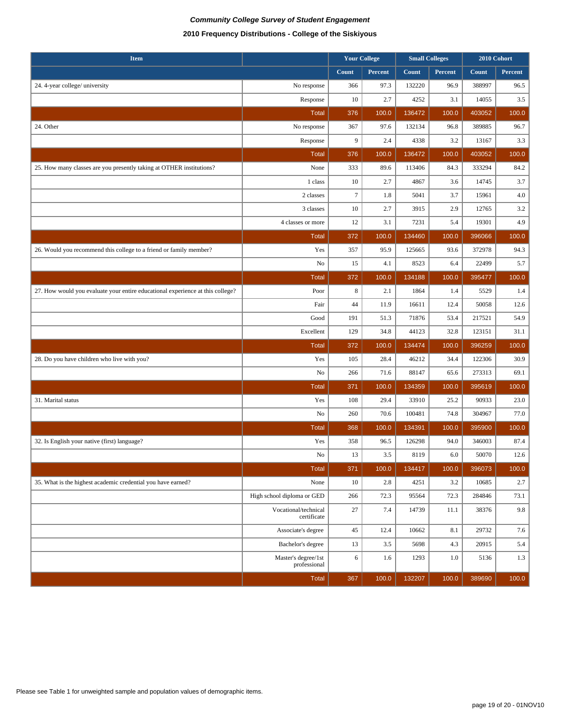| <b>Item</b>                                                                    |                                     | <b>Your College</b> |                |              | <b>Small Colleges</b> |        | 2010 Cohort    |
|--------------------------------------------------------------------------------|-------------------------------------|---------------------|----------------|--------------|-----------------------|--------|----------------|
|                                                                                |                                     | Count               | <b>Percent</b> | <b>Count</b> | Percent               | Count  | <b>Percent</b> |
| 24. 4-year college/ university                                                 | No response                         | 366                 | 97.3           | 132220       | 96.9                  | 388997 | 96.5           |
|                                                                                | Response                            | 10                  | 2.7            | 4252         | 3.1                   | 14055  | 3.5            |
|                                                                                | <b>Total</b>                        | 376                 | 100.0          | 136472       | 100.0                 | 403052 | 100.0          |
| 24. Other                                                                      | No response                         | 367                 | 97.6           | 132134       | 96.8                  | 389885 | 96.7           |
|                                                                                | Response                            | 9                   | 2.4            | 4338         | 3.2                   | 13167  | 3.3            |
|                                                                                | <b>Total</b>                        | 376                 | 100.0          | 136472       | 100.0                 | 403052 | 100.0          |
| 25. How many classes are you presently taking at OTHER institutions?           | None                                | 333                 | 89.6           | 113406       | 84.3                  | 333294 | 84.2           |
|                                                                                | 1 class                             | 10                  | 2.7            | 4867         | 3.6                   | 14745  | 3.7            |
|                                                                                | 2 classes                           | $\tau$              | 1.8            | 5041         | 3.7                   | 15961  | 4.0            |
|                                                                                | 3 classes                           | 10                  | 2.7            | 3915         | 2.9                   | 12765  | 3.2            |
|                                                                                | 4 classes or more                   | 12                  | 3.1            | 7231         | 5.4                   | 19301  | 4.9            |
|                                                                                | <b>Total</b>                        | 372                 | 100.0          | 134460       | 100.0                 | 396066 | 100.0          |
| 26. Would you recommend this college to a friend or family member?             | Yes                                 | 357                 | 95.9           | 125665       | 93.6                  | 372978 | 94.3           |
|                                                                                | No                                  | 15                  | 4.1            | 8523         | 6.4                   | 22499  | 5.7            |
|                                                                                | <b>Total</b>                        | 372                 | 100.0          | 134188       | 100.0                 | 395477 | 100.0          |
| 27. How would you evaluate your entire educational experience at this college? | Poor                                | $\,8\,$             | 2.1            | 1864         | 1.4                   | 5529   | 1.4            |
|                                                                                | Fair                                | 44                  | 11.9           | 16611        | 12.4                  | 50058  | 12.6           |
|                                                                                | Good                                | 191                 | 51.3           | 71876        | 53.4                  | 217521 | 54.9           |
|                                                                                | Excellent                           | 129                 | 34.8           | 44123        | 32.8                  | 123151 | 31.1           |
|                                                                                | <b>Total</b>                        | 372                 | 100.0          | 134474       | 100.0                 | 396259 | 100.0          |
| 28. Do you have children who live with you?                                    | Yes                                 | 105                 | 28.4           | 46212        | 34.4                  | 122306 | 30.9           |
|                                                                                | No                                  | 266                 | 71.6           | 88147        | 65.6                  | 273313 | 69.1           |
|                                                                                | <b>Total</b>                        | 371                 | 100.0          | 134359       | 100.0                 | 395619 | 100.0          |
| 31. Marital status                                                             | Yes                                 | 108                 | 29.4           | 33910        | 25.2                  | 90933  | 23.0           |
|                                                                                | No                                  | 260                 | 70.6           | 100481       | 74.8                  | 304967 | 77.0           |
|                                                                                | <b>Total</b>                        | 368                 | 100.0          | 134391       | 100.0                 | 395900 | 100.0          |
| 32. Is English your native (first) language?                                   | Yes                                 | 358                 | 96.5           | 126298       | 94.0                  | 346003 | 87.4           |
|                                                                                | No                                  | 13                  | 3.5            | 8119         | 6.0                   | 50070  | 12.6           |
|                                                                                | <b>Total</b>                        | 371                 | 100.0          | 134417       | 100.0                 | 396073 | 100.0          |
| 35. What is the highest academic credential you have earned?                   | None                                | $10$                | 2.8            | 4251         | 3.2                   | 10685  | $2.7\,$        |
|                                                                                | High school diploma or GED          | 266                 | 72.3           | 95564        | 72.3                  | 284846 | 73.1           |
|                                                                                | Vocational/technical<br>certificate | 27                  | 7.4            | 14739        | 11.1                  | 38376  | $9.8\,$        |
|                                                                                | Associate's degree                  | 45                  | 12.4           | 10662        | 8.1                   | 29732  | $7.6\,$        |
|                                                                                | Bachelor's degree                   | 13                  | 3.5            | 5698         | 4.3                   | 20915  | 5.4            |
|                                                                                | Master's degree/1st<br>professional | $\sqrt{6}$          | 1.6            | 1293         | 1.0                   | 5136   | 1.3            |
|                                                                                | Total                               | 367                 | 100.0          | 132207       | 100.0                 | 389690 | 100.0          |